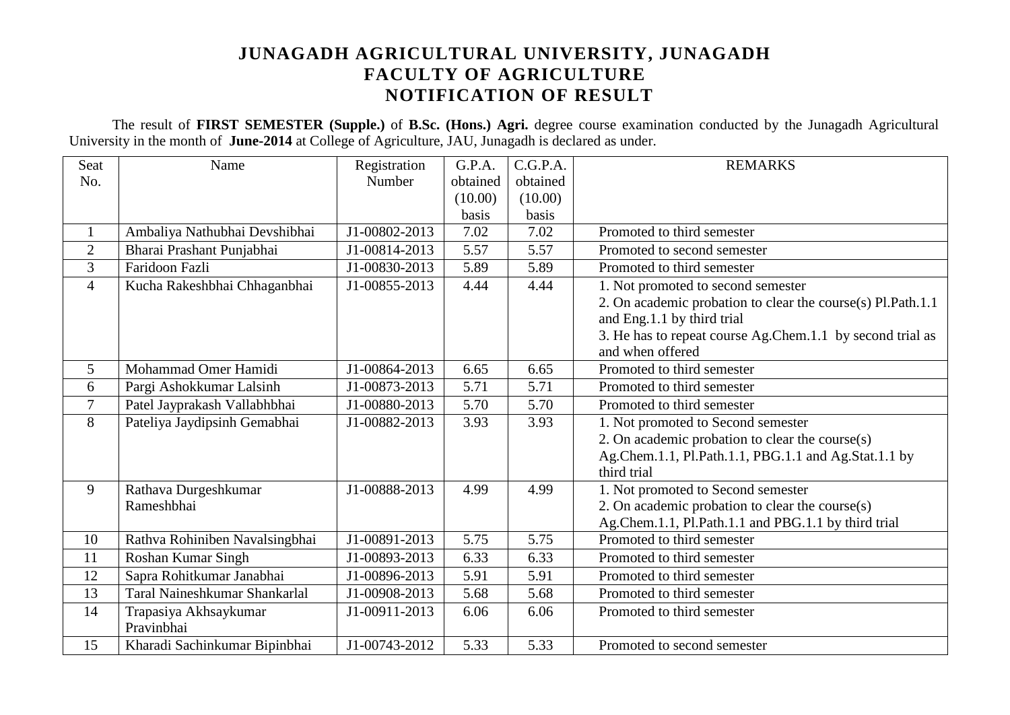# **JUNAGADH AGRICULTURAL UNIVERSITY, JUNAGADH FACULTY OF AGRICULTURE NOTIFICATION OF RESULT**

The result of **FIRST SEMESTER (Supple.)** of **B.Sc. (Hons.) Agri.** degree course examination conducted by the Junagadh Agricultural University in the month of **June-2014** at College of Agriculture, JAU, Junagadh is declared as under.

| Seat           | Name                                 | Registration  | G.P.A.   | C.G.P.A. | <b>REMARKS</b>                                              |
|----------------|--------------------------------------|---------------|----------|----------|-------------------------------------------------------------|
| No.            |                                      | Number        | obtained | obtained |                                                             |
|                |                                      |               | (10.00)  | (10.00)  |                                                             |
|                |                                      |               | basis    | basis    |                                                             |
| $\mathbf{1}$   | Ambaliya Nathubhai Devshibhai        | J1-00802-2013 | 7.02     | 7.02     | Promoted to third semester                                  |
| $\overline{2}$ | Bharai Prashant Punjabhai            | J1-00814-2013 | 5.57     | 5.57     | Promoted to second semester                                 |
| 3              | Faridoon Fazli                       | J1-00830-2013 | 5.89     | 5.89     | Promoted to third semester                                  |
| $\overline{4}$ | Kucha Rakeshbhai Chhaganbhai         | J1-00855-2013 | 4.44     | 4.44     | 1. Not promoted to second semester                          |
|                |                                      |               |          |          | 2. On academic probation to clear the course(s) Pl.Path.1.1 |
|                |                                      |               |          |          | and Eng.1.1 by third trial                                  |
|                |                                      |               |          |          | 3. He has to repeat course Ag.Chem.1.1 by second trial as   |
|                |                                      |               |          |          | and when offered                                            |
| 5              | Mohammad Omer Hamidi                 | J1-00864-2013 | 6.65     | 6.65     | Promoted to third semester                                  |
| 6              | Pargi Ashokkumar Lalsinh             | J1-00873-2013 | 5.71     | 5.71     | Promoted to third semester                                  |
| $\overline{7}$ | Patel Jayprakash Vallabhbhai         | J1-00880-2013 | 5.70     | 5.70     | Promoted to third semester                                  |
| 8              | Pateliya Jaydipsinh Gemabhai         | J1-00882-2013 | 3.93     | 3.93     | 1. Not promoted to Second semester                          |
|                |                                      |               |          |          | 2. On academic probation to clear the course(s)             |
|                |                                      |               |          |          | Ag.Chem.1.1, Pl.Path.1.1, PBG.1.1 and Ag.Stat.1.1 by        |
|                |                                      |               |          |          | third trial                                                 |
| 9              | Rathava Durgeshkumar                 | J1-00888-2013 | 4.99     | 4.99     | 1. Not promoted to Second semester                          |
|                | Rameshbhai                           |               |          |          | 2. On academic probation to clear the course(s)             |
|                |                                      |               |          |          | Ag.Chem.1.1, Pl.Path.1.1 and PBG.1.1 by third trial         |
| 10             | Rathva Rohiniben Navalsingbhai       | J1-00891-2013 | 5.75     | 5.75     | Promoted to third semester                                  |
| 11             | Roshan Kumar Singh                   | J1-00893-2013 | 6.33     | 6.33     | Promoted to third semester                                  |
| 12             | Sapra Rohitkumar Janabhai            | J1-00896-2013 | 5.91     | 5.91     | Promoted to third semester                                  |
| 13             | <b>Taral Naineshkumar Shankarlal</b> | J1-00908-2013 | 5.68     | 5.68     | Promoted to third semester                                  |
| 14             | Trapasiya Akhsaykumar                | J1-00911-2013 | 6.06     | 6.06     | Promoted to third semester                                  |
|                | Pravinbhai                           |               |          |          |                                                             |
| 15             | Kharadi Sachinkumar Bipinbhai        | J1-00743-2012 | 5.33     | 5.33     | Promoted to second semester                                 |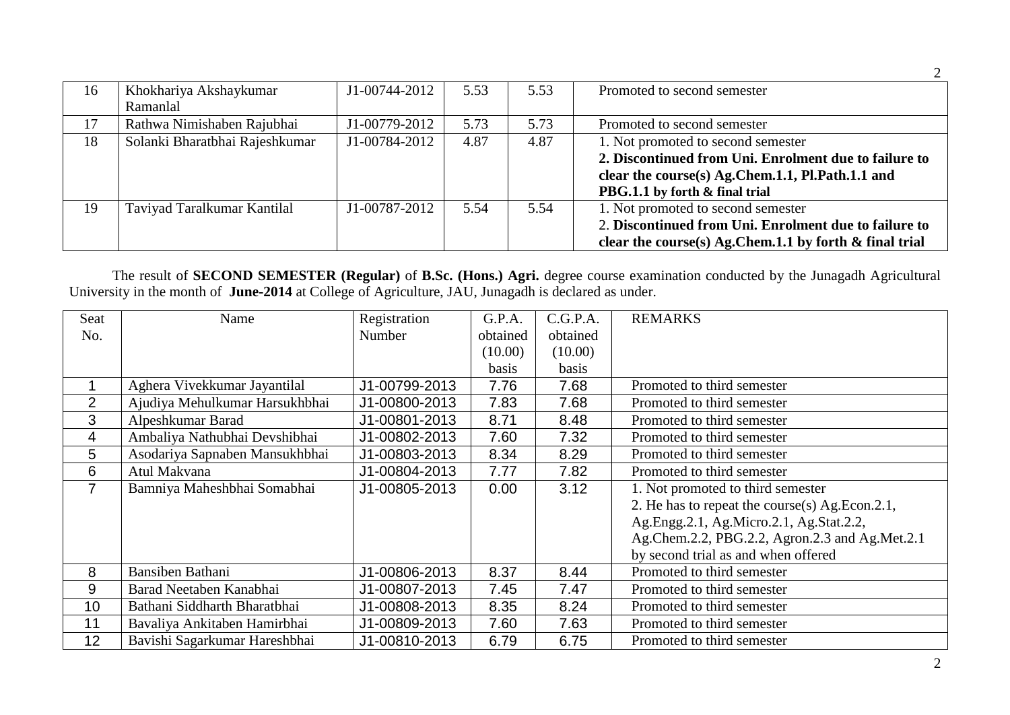| 16 | Khokhariya Akshaykumar         | J1-00744-2012 | 5.53 | 5.53 | Promoted to second semester                               |
|----|--------------------------------|---------------|------|------|-----------------------------------------------------------|
|    | Ramanlal                       |               |      |      |                                                           |
| 17 | Rathwa Nimishaben Rajubhai     | J1-00779-2012 | 5.73 | 5.73 | Promoted to second semester                               |
| 18 | Solanki Bharatbhai Rajeshkumar | J1-00784-2012 | 4.87 | 4.87 | 1. Not promoted to second semester                        |
|    |                                |               |      |      | 2. Discontinued from Uni. Enrolment due to failure to     |
|    |                                |               |      |      | clear the course(s) Ag.Chem.1.1, Pl.Path.1.1 and          |
|    |                                |               |      |      | PBG.1.1 by forth & final trial                            |
| 19 | Taviyad Taralkumar Kantilal    | J1-00787-2012 | 5.54 | 5.54 | 1. Not promoted to second semester                        |
|    |                                |               |      |      | 2. Discontinued from Uni. Enrolment due to failure to     |
|    |                                |               |      |      | clear the course(s) Ag.Chem.1.1 by forth $\&$ final trial |

The result of **SECOND SEMESTER (Regular)** of **B.Sc. (Hons.) Agri.** degree course examination conducted by the Junagadh Agricultural University in the month of **June-2014** at College of Agriculture, JAU, Junagadh is declared as under.

| Seat           | Name                           | Registration  | G.P.A.   | C.G.P.A. | <b>REMARKS</b>                                 |
|----------------|--------------------------------|---------------|----------|----------|------------------------------------------------|
| No.            |                                | Number        | obtained | obtained |                                                |
|                |                                |               | (10.00)  | (10.00)  |                                                |
|                |                                |               | basis    | basis    |                                                |
|                | Aghera Vivekkumar Jayantilal   | J1-00799-2013 | 7.76     | 7.68     | Promoted to third semester                     |
| $\overline{2}$ | Ajudiya Mehulkumar Harsukhbhai | J1-00800-2013 | 7.83     | 7.68     | Promoted to third semester                     |
| 3              | Alpeshkumar Barad              | J1-00801-2013 | 8.71     | 8.48     | Promoted to third semester                     |
| 4              | Ambaliya Nathubhai Devshibhai  | J1-00802-2013 | 7.60     | 7.32     | Promoted to third semester                     |
| 5              | Asodariya Sapnaben Mansukhbhai | J1-00803-2013 | 8.34     | 8.29     | Promoted to third semester                     |
| 6              | Atul Makvana                   | J1-00804-2013 | 7.77     | 7.82     | Promoted to third semester                     |
| $\overline{7}$ | Bamniya Maheshbhai Somabhai    | J1-00805-2013 | 0.00     | 3.12     | 1. Not promoted to third semester              |
|                |                                |               |          |          | 2. He has to repeat the course(s) Ag.Econ.2.1, |
|                |                                |               |          |          | Ag.Engg.2.1, Ag.Micro.2.1, Ag.Stat.2.2,        |
|                |                                |               |          |          | Ag.Chem.2.2, PBG.2.2, Agron.2.3 and Ag.Met.2.1 |
|                |                                |               |          |          | by second trial as and when offered            |
| 8              | Bansiben Bathani               | J1-00806-2013 | 8.37     | 8.44     | Promoted to third semester                     |
| 9              | Barad Neetaben Kanabhai        | J1-00807-2013 | 7.45     | 7.47     | Promoted to third semester                     |
| 10             | Bathani Siddharth Bharatbhai   | J1-00808-2013 | 8.35     | 8.24     | Promoted to third semester                     |
| 11             | Bavaliya Ankitaben Hamirbhai   | J1-00809-2013 | 7.60     | 7.63     | Promoted to third semester                     |
| 12             | Bavishi Sagarkumar Hareshbhai  | J1-00810-2013 | 6.79     | 6.75     | Promoted to third semester                     |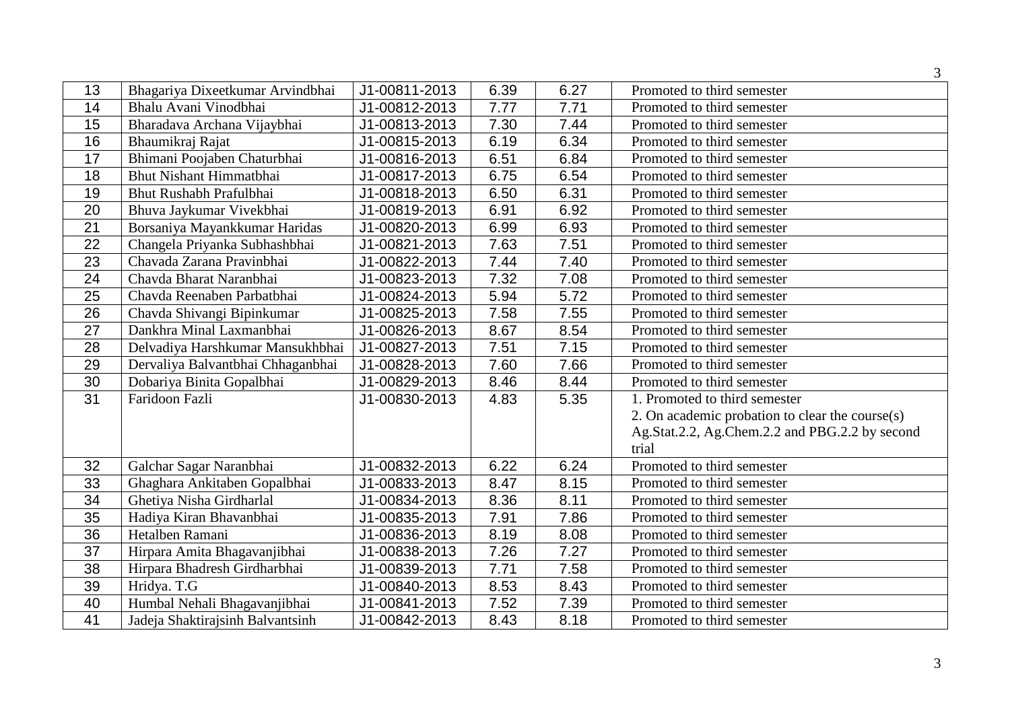|                 |                                   |               |      |      | 3                                               |
|-----------------|-----------------------------------|---------------|------|------|-------------------------------------------------|
| 13              | Bhagariya Dixeetkumar Arvindbhai  | J1-00811-2013 | 6.39 | 6.27 | Promoted to third semester                      |
| 14              | Bhalu Avani Vinodbhai             | J1-00812-2013 | 7.77 | 7.71 | Promoted to third semester                      |
| 15              | Bharadava Archana Vijaybhai       | J1-00813-2013 | 7.30 | 7.44 | Promoted to third semester                      |
| 16              | Bhaumikraj Rajat                  | J1-00815-2013 | 6.19 | 6.34 | Promoted to third semester                      |
| 17              | Bhimani Poojaben Chaturbhai       | J1-00816-2013 | 6.51 | 6.84 | Promoted to third semester                      |
| 18              | <b>Bhut Nishant Himmatbhai</b>    | J1-00817-2013 | 6.75 | 6.54 | Promoted to third semester                      |
| 19              | <b>Bhut Rushabh Prafulbhai</b>    | J1-00818-2013 | 6.50 | 6.31 | Promoted to third semester                      |
| 20              | Bhuva Jaykumar Vivekbhai          | J1-00819-2013 | 6.91 | 6.92 | Promoted to third semester                      |
| 21              | Borsaniya Mayankkumar Haridas     | J1-00820-2013 | 6.99 | 6.93 | Promoted to third semester                      |
| 22              | Changela Priyanka Subhashbhai     | J1-00821-2013 | 7.63 | 7.51 | Promoted to third semester                      |
| 23              | Chavada Zarana Pravinbhai         | J1-00822-2013 | 7.44 | 7.40 | Promoted to third semester                      |
| 24              | Chavda Bharat Naranbhai           | J1-00823-2013 | 7.32 | 7.08 | Promoted to third semester                      |
| 25              | Chavda Reenaben Parbatbhai        | J1-00824-2013 | 5.94 | 5.72 | Promoted to third semester                      |
| 26              | Chavda Shivangi Bipinkumar        | J1-00825-2013 | 7.58 | 7.55 | Promoted to third semester                      |
| $\overline{27}$ | Dankhra Minal Laxmanbhai          | J1-00826-2013 | 8.67 | 8.54 | Promoted to third semester                      |
| 28              | Delvadiya Harshkumar Mansukhbhai  | J1-00827-2013 | 7.51 | 7.15 | Promoted to third semester                      |
| 29              | Dervaliya Balvantbhai Chhaganbhai | J1-00828-2013 | 7.60 | 7.66 | Promoted to third semester                      |
| 30              | Dobariya Binita Gopalbhai         | J1-00829-2013 | 8.46 | 8.44 | Promoted to third semester                      |
| 31              | Faridoon Fazli                    | J1-00830-2013 | 4.83 | 5.35 | 1. Promoted to third semester                   |
|                 |                                   |               |      |      | 2. On academic probation to clear the course(s) |
|                 |                                   |               |      |      | Ag.Stat.2.2, Ag.Chem.2.2 and PBG.2.2 by second  |
|                 |                                   |               |      |      | trial                                           |
| 32              | Galchar Sagar Naranbhai           | J1-00832-2013 | 6.22 | 6.24 | Promoted to third semester                      |
| 33              | Ghaghara Ankitaben Gopalbhai      | J1-00833-2013 | 8.47 | 8.15 | Promoted to third semester                      |
| 34              | Ghetiya Nisha Girdharlal          | J1-00834-2013 | 8.36 | 8.11 | Promoted to third semester                      |
| 35              | Hadiya Kiran Bhavanbhai           | J1-00835-2013 | 7.91 | 7.86 | Promoted to third semester                      |
| 36              | Hetalben Ramani                   | J1-00836-2013 | 8.19 | 8.08 | Promoted to third semester                      |
| 37              | Hirpara Amita Bhagavanjibhai      | J1-00838-2013 | 7.26 | 7.27 | Promoted to third semester                      |
| 38              | Hirpara Bhadresh Girdharbhai      | J1-00839-2013 | 7.71 | 7.58 | Promoted to third semester                      |
| 39              | Hridya. T.G                       | J1-00840-2013 | 8.53 | 8.43 | Promoted to third semester                      |
| 40              | Humbal Nehali Bhagavanjibhai      | J1-00841-2013 | 7.52 | 7.39 | Promoted to third semester                      |
| $\overline{41}$ | Jadeja Shaktirajsinh Balvantsinh  | J1-00842-2013 | 8.43 | 8.18 | Promoted to third semester                      |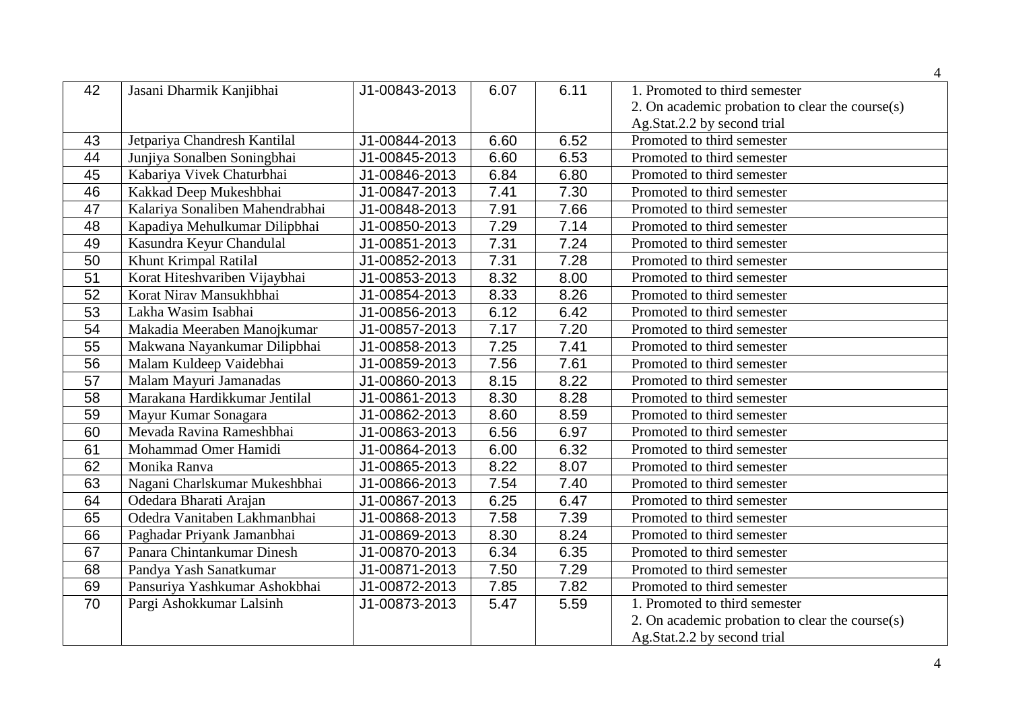| 42              | Jasani Dharmik Kanjibhai        | J1-00843-2013 | 6.07 | 6.11 | 1. Promoted to third semester                   |
|-----------------|---------------------------------|---------------|------|------|-------------------------------------------------|
|                 |                                 |               |      |      | 2. On academic probation to clear the course(s) |
|                 |                                 |               |      |      | Ag.Stat.2.2 by second trial                     |
| 43              | Jetpariya Chandresh Kantilal    | J1-00844-2013 | 6.60 | 6.52 | Promoted to third semester                      |
| 44              | Junjiya Sonalben Soningbhai     | J1-00845-2013 | 6.60 | 6.53 | Promoted to third semester                      |
| 45              | Kabariya Vivek Chaturbhai       | J1-00846-2013 | 6.84 | 6.80 | Promoted to third semester                      |
| 46              | Kakkad Deep Mukeshbhai          | J1-00847-2013 | 7.41 | 7.30 | Promoted to third semester                      |
| 47              | Kalariya Sonaliben Mahendrabhai | J1-00848-2013 | 7.91 | 7.66 | Promoted to third semester                      |
| 48              | Kapadiya Mehulkumar Dilipbhai   | J1-00850-2013 | 7.29 | 7.14 | Promoted to third semester                      |
| 49              | Kasundra Keyur Chandulal        | J1-00851-2013 | 7.31 | 7.24 | Promoted to third semester                      |
| 50              | <b>Khunt Krimpal Ratilal</b>    | J1-00852-2013 | 7.31 | 7.28 | Promoted to third semester                      |
| $\overline{51}$ | Korat Hiteshvariben Vijaybhai   | J1-00853-2013 | 8.32 | 8.00 | Promoted to third semester                      |
| 52              | Korat Nirav Mansukhbhai         | J1-00854-2013 | 8.33 | 8.26 | Promoted to third semester                      |
| 53              | Lakha Wasim Isabhai             | J1-00856-2013 | 6.12 | 6.42 | Promoted to third semester                      |
| 54              | Makadia Meeraben Manojkumar     | J1-00857-2013 | 7.17 | 7.20 | Promoted to third semester                      |
| $\overline{55}$ | Makwana Nayankumar Dilipbhai    | J1-00858-2013 | 7.25 | 7.41 | Promoted to third semester                      |
| 56              | Malam Kuldeep Vaidebhai         | J1-00859-2013 | 7.56 | 7.61 | Promoted to third semester                      |
| 57              | Malam Mayuri Jamanadas          | J1-00860-2013 | 8.15 | 8.22 | Promoted to third semester                      |
| 58              | Marakana Hardikkumar Jentilal   | J1-00861-2013 | 8.30 | 8.28 | Promoted to third semester                      |
| 59              | Mayur Kumar Sonagara            | J1-00862-2013 | 8.60 | 8.59 | Promoted to third semester                      |
| 60              | Mevada Ravina Rameshbhai        | J1-00863-2013 | 6.56 | 6.97 | Promoted to third semester                      |
| 61              | Mohammad Omer Hamidi            | J1-00864-2013 | 6.00 | 6.32 | Promoted to third semester                      |
| 62              | Monika Ranva                    | J1-00865-2013 | 8.22 | 8.07 | Promoted to third semester                      |
| 63              | Nagani Charlskumar Mukeshbhai   | J1-00866-2013 | 7.54 | 7.40 | Promoted to third semester                      |
| 64              | Odedara Bharati Arajan          | J1-00867-2013 | 6.25 | 6.47 | Promoted to third semester                      |
| 65              | Odedra Vanitaben Lakhmanbhai    | J1-00868-2013 | 7.58 | 7.39 | Promoted to third semester                      |
| 66              | Paghadar Priyank Jamanbhai      | J1-00869-2013 | 8.30 | 8.24 | Promoted to third semester                      |
| 67              | Panara Chintankumar Dinesh      | J1-00870-2013 | 6.34 | 6.35 | Promoted to third semester                      |
| 68              | Pandya Yash Sanatkumar          | J1-00871-2013 | 7.50 | 7.29 | Promoted to third semester                      |
| 69              | Pansuriya Yashkumar Ashokbhai   | J1-00872-2013 | 7.85 | 7.82 | Promoted to third semester                      |
| 70              | Pargi Ashokkumar Lalsinh        | J1-00873-2013 | 5.47 | 5.59 | 1. Promoted to third semester                   |
|                 |                                 |               |      |      | 2. On academic probation to clear the course(s) |
|                 |                                 |               |      |      | Ag.Stat.2.2 by second trial                     |
|                 |                                 |               |      |      |                                                 |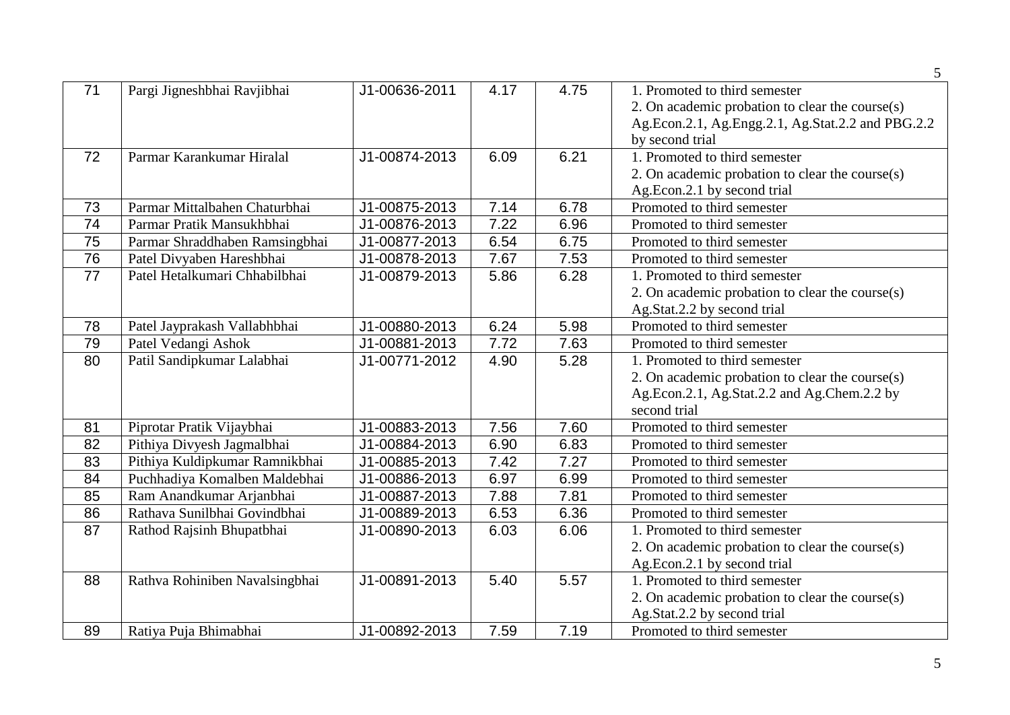|    |                                |               |      |      | 5 <sup>5</sup>                                    |
|----|--------------------------------|---------------|------|------|---------------------------------------------------|
| 71 | Pargi Jigneshbhai Ravjibhai    | J1-00636-2011 | 4.17 | 4.75 | 1. Promoted to third semester                     |
|    |                                |               |      |      | 2. On academic probation to clear the course(s)   |
|    |                                |               |      |      | Ag.Econ.2.1, Ag.Engg.2.1, Ag.Stat.2.2 and PBG.2.2 |
|    |                                |               |      |      | by second trial                                   |
| 72 | Parmar Karankumar Hiralal      | J1-00874-2013 | 6.09 | 6.21 | 1. Promoted to third semester                     |
|    |                                |               |      |      | 2. On academic probation to clear the course(s)   |
|    |                                |               |      |      | Ag.Econ.2.1 by second trial                       |
| 73 | Parmar Mittalbahen Chaturbhai  | J1-00875-2013 | 7.14 | 6.78 | Promoted to third semester                        |
| 74 | Parmar Pratik Mansukhbhai      | J1-00876-2013 | 7.22 | 6.96 | Promoted to third semester                        |
| 75 | Parmar Shraddhaben Ramsingbhai | J1-00877-2013 | 6.54 | 6.75 | Promoted to third semester                        |
| 76 | Patel Divyaben Hareshbhai      | J1-00878-2013 | 7.67 | 7.53 | Promoted to third semester                        |
| 77 | Patel Hetalkumari Chhabilbhai  | J1-00879-2013 | 5.86 | 6.28 | 1. Promoted to third semester                     |
|    |                                |               |      |      | 2. On academic probation to clear the course(s)   |
|    |                                |               |      |      | Ag.Stat.2.2 by second trial                       |
| 78 | Patel Jayprakash Vallabhbhai   | J1-00880-2013 | 6.24 | 5.98 | Promoted to third semester                        |
| 79 | Patel Vedangi Ashok            | J1-00881-2013 | 7.72 | 7.63 | Promoted to third semester                        |
| 80 | Patil Sandipkumar Lalabhai     | J1-00771-2012 | 4.90 | 5.28 | 1. Promoted to third semester                     |
|    |                                |               |      |      | 2. On academic probation to clear the course(s)   |
|    |                                |               |      |      | Ag.Econ.2.1, Ag.Stat.2.2 and Ag.Chem.2.2 by       |
|    |                                |               |      |      | second trial                                      |
| 81 | Piprotar Pratik Vijaybhai      | J1-00883-2013 | 7.56 | 7.60 | Promoted to third semester                        |
| 82 | Pithiya Divyesh Jagmalbhai     | J1-00884-2013 | 6.90 | 6.83 | Promoted to third semester                        |
| 83 | Pithiya Kuldipkumar Ramnikbhai | J1-00885-2013 | 7.42 | 7.27 | Promoted to third semester                        |
| 84 | Puchhadiya Komalben Maldebhai  | J1-00886-2013 | 6.97 | 6.99 | Promoted to third semester                        |
| 85 | Ram Anandkumar Arjanbhai       | J1-00887-2013 | 7.88 | 7.81 | Promoted to third semester                        |
| 86 | Rathava Sunilbhai Govindbhai   | J1-00889-2013 | 6.53 | 6.36 | Promoted to third semester                        |
| 87 | Rathod Rajsinh Bhupatbhai      | J1-00890-2013 | 6.03 | 6.06 | 1. Promoted to third semester                     |
|    |                                |               |      |      | 2. On academic probation to clear the course(s)   |
|    |                                |               |      |      | Ag.Econ.2.1 by second trial                       |
| 88 | Rathva Rohiniben Navalsingbhai | J1-00891-2013 | 5.40 | 5.57 | 1. Promoted to third semester                     |
|    |                                |               |      |      | 2. On academic probation to clear the course(s)   |
|    |                                |               |      |      | Ag.Stat.2.2 by second trial                       |
| 89 | Ratiya Puja Bhimabhai          | J1-00892-2013 | 7.59 | 7.19 | Promoted to third semester                        |

5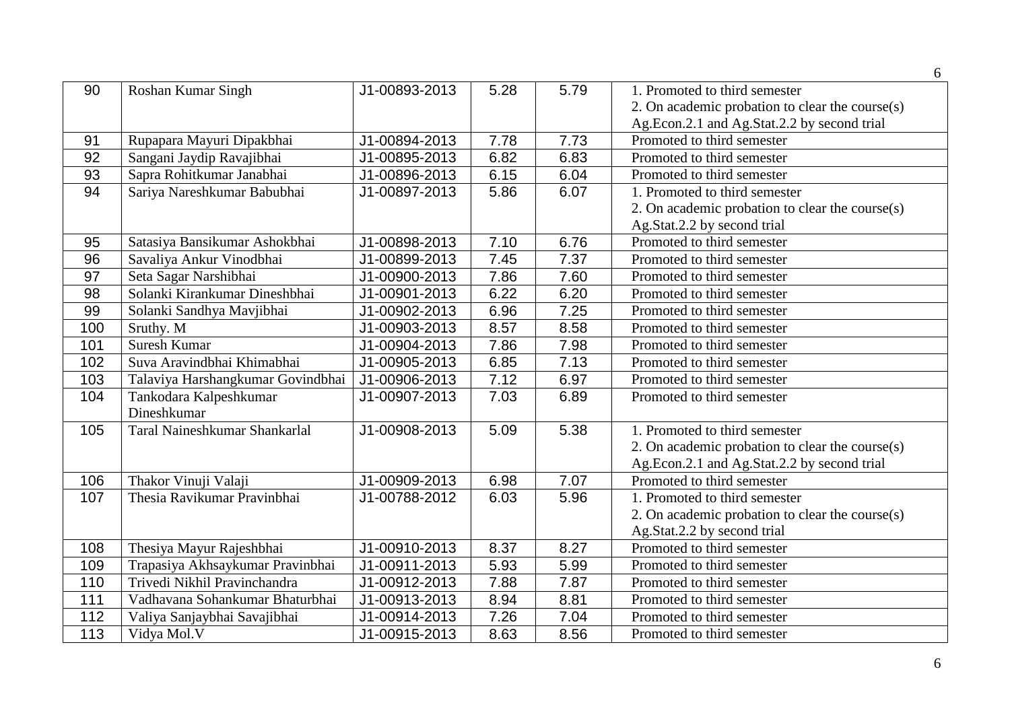|                 |                                   |               |      |      | 6                                               |
|-----------------|-----------------------------------|---------------|------|------|-------------------------------------------------|
| 90              | Roshan Kumar Singh                | J1-00893-2013 | 5.28 | 5.79 | 1. Promoted to third semester                   |
|                 |                                   |               |      |      | 2. On academic probation to clear the course(s) |
|                 |                                   |               |      |      | Ag.Econ.2.1 and Ag.Stat.2.2 by second trial     |
| 91              | Rupapara Mayuri Dipakbhai         | J1-00894-2013 | 7.78 | 7.73 | Promoted to third semester                      |
| 92              | Sangani Jaydip Ravajibhai         | J1-00895-2013 | 6.82 | 6.83 | Promoted to third semester                      |
| 93              | Sapra Rohitkumar Janabhai         | J1-00896-2013 | 6.15 | 6.04 | Promoted to third semester                      |
| 94              | Sariya Nareshkumar Babubhai       | J1-00897-2013 | 5.86 | 6.07 | 1. Promoted to third semester                   |
|                 |                                   |               |      |      | 2. On academic probation to clear the course(s) |
|                 |                                   |               |      |      | Ag.Stat.2.2 by second trial                     |
| 95              | Satasiya Bansikumar Ashokbhai     | J1-00898-2013 | 7.10 | 6.76 | Promoted to third semester                      |
| $\overline{96}$ | Savaliya Ankur Vinodbhai          | J1-00899-2013 | 7.45 | 7.37 | Promoted to third semester                      |
| 97              | Seta Sagar Narshibhai             | J1-00900-2013 | 7.86 | 7.60 | Promoted to third semester                      |
| 98              | Solanki Kirankumar Dineshbhai     | J1-00901-2013 | 6.22 | 6.20 | Promoted to third semester                      |
| 99              | Solanki Sandhya Mavjibhai         | J1-00902-2013 | 6.96 | 7.25 | Promoted to third semester                      |
| 100             | Sruthy. M                         | J1-00903-2013 | 8.57 | 8.58 | Promoted to third semester                      |
| 101             | Suresh Kumar                      | J1-00904-2013 | 7.86 | 7.98 | Promoted to third semester                      |
| 102             | Suva Aravindbhai Khimabhai        | J1-00905-2013 | 6.85 | 7.13 | Promoted to third semester                      |
| 103             | Talaviya Harshangkumar Govindbhai | J1-00906-2013 | 7.12 | 6.97 | Promoted to third semester                      |
| 104             | Tankodara Kalpeshkumar            | J1-00907-2013 | 7.03 | 6.89 | Promoted to third semester                      |
|                 | Dineshkumar                       |               |      |      |                                                 |
| 105             | Taral Naineshkumar Shankarlal     | J1-00908-2013 | 5.09 | 5.38 | 1. Promoted to third semester                   |
|                 |                                   |               |      |      | 2. On academic probation to clear the course(s) |
|                 |                                   |               |      |      | Ag.Econ.2.1 and Ag.Stat.2.2 by second trial     |
| 106             | Thakor Vinuji Valaji              | J1-00909-2013 | 6.98 | 7.07 | Promoted to third semester                      |
| 107             | Thesia Ravikumar Pravinbhai       | J1-00788-2012 | 6.03 | 5.96 | 1. Promoted to third semester                   |
|                 |                                   |               |      |      | 2. On academic probation to clear the course(s) |
|                 |                                   |               |      |      | Ag.Stat.2.2 by second trial                     |
| 108             | Thesiya Mayur Rajeshbhai          | J1-00910-2013 | 8.37 | 8.27 | Promoted to third semester                      |
| 109             | Trapasiya Akhsaykumar Pravinbhai  | J1-00911-2013 | 5.93 | 5.99 | Promoted to third semester                      |
| 110             | Trivedi Nikhil Pravinchandra      | J1-00912-2013 | 7.88 | 7.87 | Promoted to third semester                      |
| 111             | Vadhavana Sohankumar Bhaturbhai   | J1-00913-2013 | 8.94 | 8.81 | Promoted to third semester                      |
| 112             | Valiya Sanjaybhai Savajibhai      | J1-00914-2013 | 7.26 | 7.04 | Promoted to third semester                      |
| 113             | Vidya Mol.V                       | J1-00915-2013 | 8.63 | 8.56 | Promoted to third semester                      |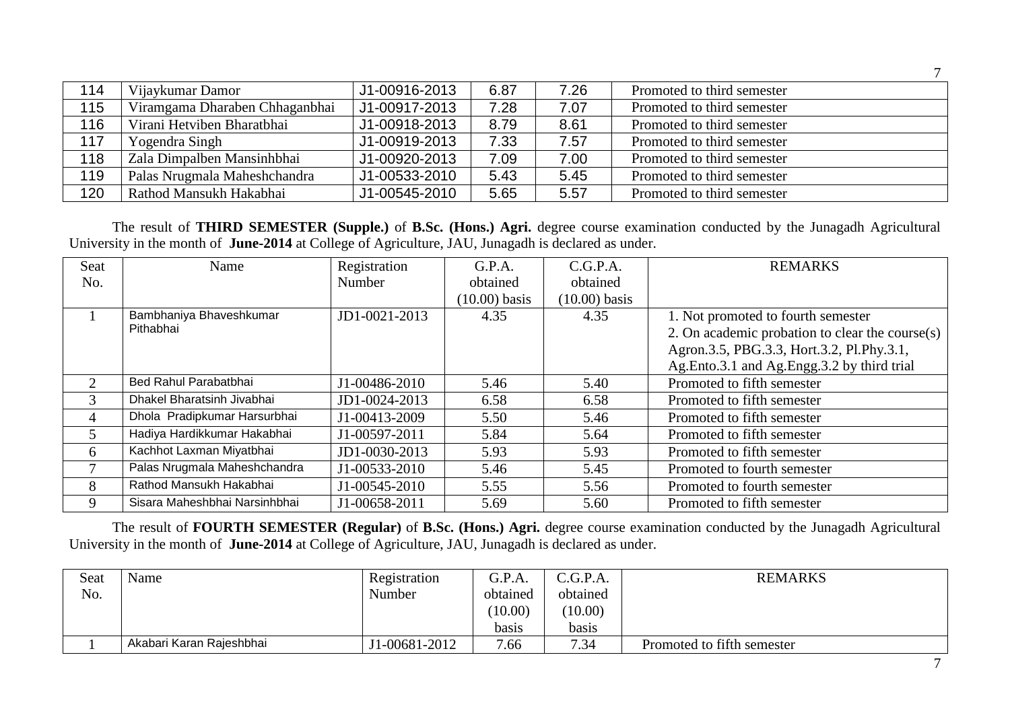| 114 | Vijaykumar Damor               | J1-00916-2013 | 6.87 | 7.26 | Promoted to third semester |
|-----|--------------------------------|---------------|------|------|----------------------------|
| 115 | Viramgama Dharaben Chhaganbhai | J1-00917-2013 | 7.28 | 7.07 | Promoted to third semester |
| 116 | Virani Hetviben Bharatbhai     | J1-00918-2013 | 8.79 | 8.61 | Promoted to third semester |
| 117 | Yogendra Singh                 | J1-00919-2013 | 7.33 | 7.57 | Promoted to third semester |
| 118 | Zala Dimpalben Mansinhbhai     | J1-00920-2013 | 7.09 | 7.00 | Promoted to third semester |
| 119 | Palas Nrugmala Maheshchandra   | J1-00533-2010 | 5.43 | 5.45 | Promoted to third semester |
| 120 | Rathod Mansukh Hakabhai        | J1-00545-2010 | 5.65 | 5.57 | Promoted to third semester |

The result of **THIRD SEMESTER (Supple.)** of **B.Sc. (Hons.) Agri.** degree course examination conducted by the Junagadh Agricultural University in the month of **June-2014** at College of Agriculture, JAU, Junagadh is declared as under.

| Seat                        | Name                          | Registration  | G.P.A.          | C.G.P.A.        | <b>REMARKS</b>                                  |
|-----------------------------|-------------------------------|---------------|-----------------|-----------------|-------------------------------------------------|
| No.                         |                               | Number        | obtained        | obtained        |                                                 |
|                             |                               |               | $(10.00)$ basis | $(10.00)$ basis |                                                 |
|                             | Bambhaniya Bhaveshkumar       | JD1-0021-2013 | 4.35            | 4.35            | 1. Not promoted to fourth semester              |
|                             | Pithabhai                     |               |                 |                 | 2. On academic probation to clear the course(s) |
|                             |                               |               |                 |                 | Agron.3.5, PBG.3.3, Hort.3.2, Pl.Phy.3.1,       |
|                             |                               |               |                 |                 | Ag.Ento.3.1 and Ag.Engg.3.2 by third trial      |
| $\mathcal{D}_{\mathcal{L}}$ | Bed Rahul Parabatbhai         | J1-00486-2010 | 5.46            | 5.40            | Promoted to fifth semester                      |
| 3                           | Dhakel Bharatsinh Jivabhai    | JD1-0024-2013 | 6.58            | 6.58            | Promoted to fifth semester                      |
| 4                           | Dhola Pradipkumar Harsurbhai  | J1-00413-2009 | 5.50            | 5.46            | Promoted to fifth semester                      |
| 5                           | Hadiya Hardikkumar Hakabhai   | J1-00597-2011 | 5.84            | 5.64            | Promoted to fifth semester                      |
| 6                           | Kachhot Laxman Miyatbhai      | JD1-0030-2013 | 5.93            | 5.93            | Promoted to fifth semester                      |
| 7                           | Palas Nrugmala Maheshchandra  | J1-00533-2010 | 5.46            | 5.45            | Promoted to fourth semester                     |
| 8                           | Rathod Mansukh Hakabhai       | J1-00545-2010 | 5.55            | 5.56            | Promoted to fourth semester                     |
| 9                           | Sisara Maheshbhai Narsinhbhai | J1-00658-2011 | 5.69            | 5.60            | Promoted to fifth semester                      |

The result of **FOURTH SEMESTER (Regular)** of **B.Sc. (Hons.) Agri.** degree course examination conducted by the Junagadh Agricultural University in the month of **June-2014** at College of Agriculture, JAU, Junagadh is declared as under.

| Seat | Name                     | Registration  | G.P.A.   | C.G.P.A. | <b>REMARKS</b>             |
|------|--------------------------|---------------|----------|----------|----------------------------|
| No.  |                          | Number        | obtained | obtained |                            |
|      |                          |               | (10.00)  | (10.00)  |                            |
|      |                          |               | basis    | basis    |                            |
|      | Akabari Karan Rajeshbhai | J1-00681-2012 | 7.66     | 7.34     | Promoted to fifth semester |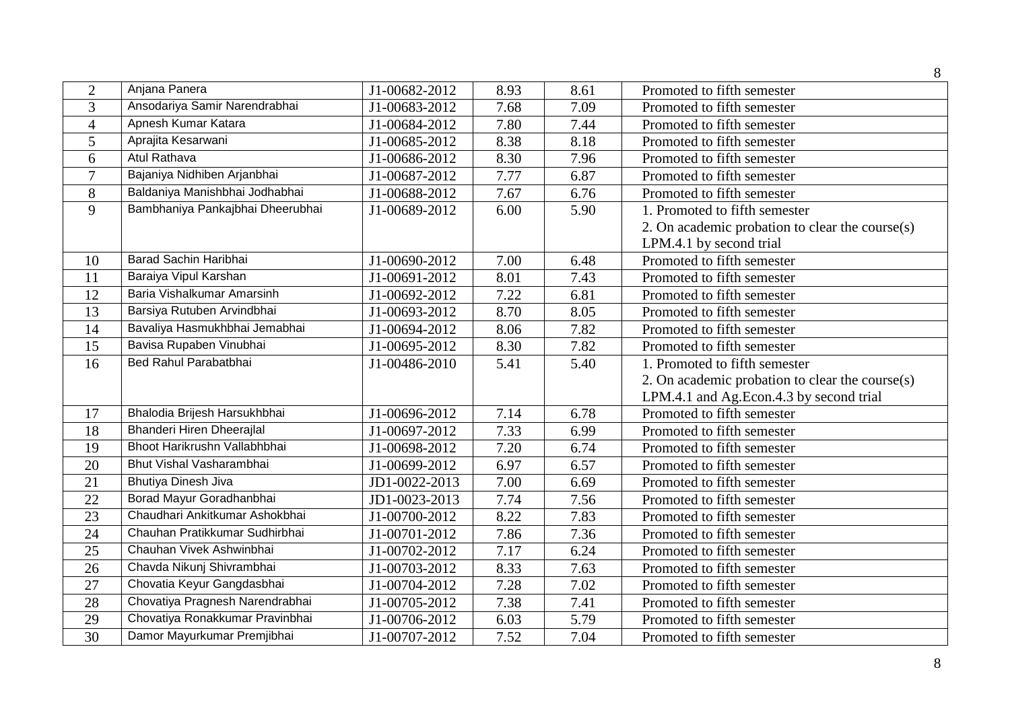| $\overline{2}$ | Anjana Panera                    | J1-00682-2012               | 8.93 | 8.61 | Promoted to fifth semester                      |
|----------------|----------------------------------|-----------------------------|------|------|-------------------------------------------------|
| 3              | Ansodariya Samir Narendrabhai    | J1-00683-2012               | 7.68 | 7.09 | Promoted to fifth semester                      |
| $\overline{4}$ | Apnesh Kumar Katara              | J1-00684-2012               | 7.80 | 7.44 | Promoted to fifth semester                      |
| 5              | Aprajita Kesarwani               | J1-00685-2012               | 8.38 | 8.18 | Promoted to fifth semester                      |
| 6              | <b>Atul Rathava</b>              | J1-00686-2012               | 8.30 | 7.96 | Promoted to fifth semester                      |
| $\overline{7}$ | Bajaniya Nidhiben Arjanbhai      | J1-00687-2012               | 7.77 | 6.87 | Promoted to fifth semester                      |
| 8              | Baldaniya Manishbhai Jodhabhai   | J1-00688-2012               | 7.67 | 6.76 | Promoted to fifth semester                      |
| 9              | Bambhaniya Pankajbhai Dheerubhai | J1-00689-2012               | 6.00 | 5.90 | 1. Promoted to fifth semester                   |
|                |                                  |                             |      |      | 2. On academic probation to clear the course(s) |
|                |                                  |                             |      |      | LPM.4.1 by second trial                         |
| 10             | Barad Sachin Haribhai            | J1-00690-2012               | 7.00 | 6.48 | Promoted to fifth semester                      |
| 11             | Baraiya Vipul Karshan            | J1-00691-2012               | 8.01 | 7.43 | Promoted to fifth semester                      |
| 12             | Baria Vishalkumar Amarsinh       | $\overline{J1}$ -00692-2012 | 7.22 | 6.81 | Promoted to fifth semester                      |
| 13             | Barsiya Rutuben Arvindbhai       | J1-00693-2012               | 8.70 | 8.05 | Promoted to fifth semester                      |
| 14             | Bavaliya Hasmukhbhai Jemabhai    | J1-00694-2012               | 8.06 | 7.82 | Promoted to fifth semester                      |
| 15             | Bavisa Rupaben Vinubhai          | J1-00695-2012               | 8.30 | 7.82 | Promoted to fifth semester                      |
| 16             | Bed Rahul Parabatbhai            | J1-00486-2010               | 5.41 | 5.40 | 1. Promoted to fifth semester                   |
|                |                                  |                             |      |      | 2. On academic probation to clear the course(s) |
|                |                                  |                             |      |      | LPM.4.1 and Ag.Econ.4.3 by second trial         |
| 17             | Bhalodia Brijesh Harsukhbhai     | J1-00696-2012               | 7.14 | 6.78 | Promoted to fifth semester                      |
| 18             | <b>Bhanderi Hiren Dheerajlal</b> | J1-00697-2012               | 7.33 | 6.99 | Promoted to fifth semester                      |
| 19             | Bhoot Harikrushn Vallabhbhai     | J1-00698-2012               | 7.20 | 6.74 | Promoted to fifth semester                      |
| 20             | Bhut Vishal Vasharambhai         | J1-00699-2012               | 6.97 | 6.57 | Promoted to fifth semester                      |
| 21             | <b>Bhutiya Dinesh Jiva</b>       | JD1-0022-2013               | 7.00 | 6.69 | Promoted to fifth semester                      |
| 22             | Borad Mayur Goradhanbhai         | JD1-0023-2013               | 7.74 | 7.56 | Promoted to fifth semester                      |
| 23             | Chaudhari Ankitkumar Ashokbhai   | J1-00700-2012               | 8.22 | 7.83 | Promoted to fifth semester                      |
| 24             | Chauhan Pratikkumar Sudhirbhai   | J1-00701-2012               | 7.86 | 7.36 | Promoted to fifth semester                      |
| 25             | Chauhan Vivek Ashwinbhai         | J1-00702-2012               | 7.17 | 6.24 | Promoted to fifth semester                      |
| 26             | Chavda Nikunj Shivrambhai        | J1-00703-2012               | 8.33 | 7.63 | Promoted to fifth semester                      |
| 27             | Chovatia Keyur Gangdasbhai       | J1-00704-2012               | 7.28 | 7.02 | Promoted to fifth semester                      |
| 28             | Chovatiya Pragnesh Narendrabhai  | J1-00705-2012               | 7.38 | 7.41 | Promoted to fifth semester                      |
| 29             | Chovatiya Ronakkumar Pravinbhai  | J1-00706-2012               | 6.03 | 5.79 | Promoted to fifth semester                      |
| 30             | Damor Mayurkumar Premjibhai      | J1-00707-2012               | 7.52 | 7.04 | Promoted to fifth semester                      |
|                |                                  |                             |      |      |                                                 |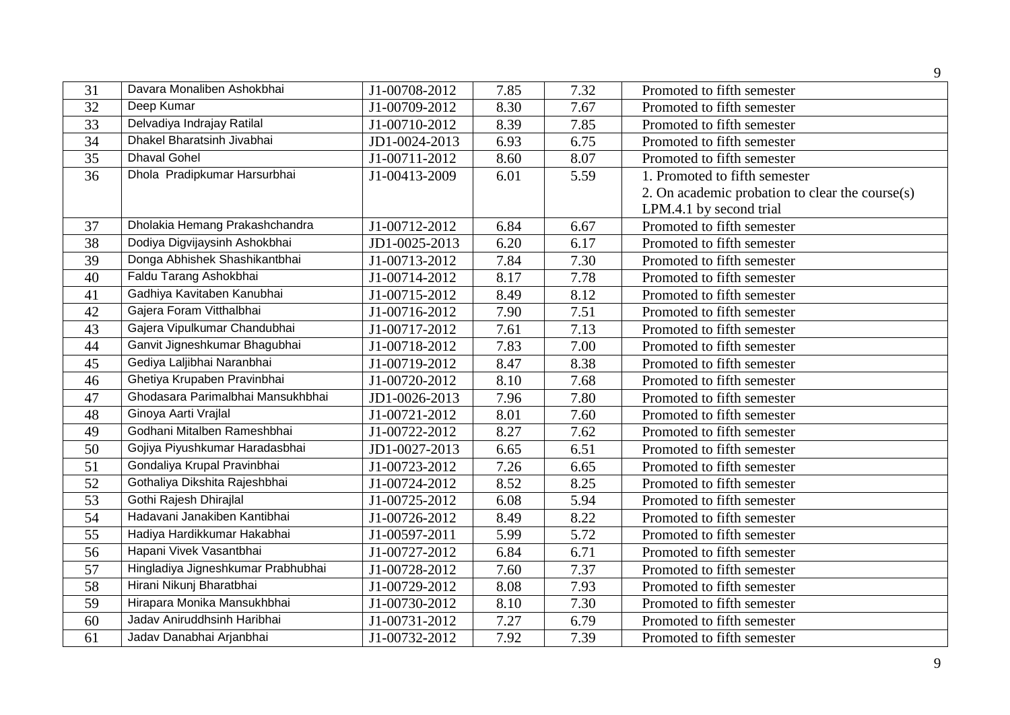| 31              | Davara Monaliben Ashokbhai         | J1-00708-2012 | 7.85 | 7.32 | Promoted to fifth semester                      |
|-----------------|------------------------------------|---------------|------|------|-------------------------------------------------|
| 32              | Deep Kumar                         | J1-00709-2012 | 8.30 | 7.67 | Promoted to fifth semester                      |
| $\overline{33}$ | Delvadiya Indrajay Ratilal         | J1-00710-2012 | 8.39 | 7.85 | Promoted to fifth semester                      |
| 34              | Dhakel Bharatsinh Jivabhai         | JD1-0024-2013 | 6.93 | 6.75 | Promoted to fifth semester                      |
| 35              | <b>Dhaval Gohel</b>                | J1-00711-2012 | 8.60 | 8.07 | Promoted to fifth semester                      |
| 36              | Dhola Pradipkumar Harsurbhai       | J1-00413-2009 | 6.01 | 5.59 | 1. Promoted to fifth semester                   |
|                 |                                    |               |      |      | 2. On academic probation to clear the course(s) |
|                 |                                    |               |      |      | LPM.4.1 by second trial                         |
| 37              | Dholakia Hemang Prakashchandra     | J1-00712-2012 | 6.84 | 6.67 | Promoted to fifth semester                      |
| 38              | Dodiya Digvijaysinh Ashokbhai      | JD1-0025-2013 | 6.20 | 6.17 | Promoted to fifth semester                      |
| $\overline{39}$ | Donga Abhishek Shashikantbhai      | J1-00713-2012 | 7.84 | 7.30 | Promoted to fifth semester                      |
| 40              | Faldu Tarang Ashokbhai             | J1-00714-2012 | 8.17 | 7.78 | Promoted to fifth semester                      |
| 41              | Gadhiya Kavitaben Kanubhai         | J1-00715-2012 | 8.49 | 8.12 | Promoted to fifth semester                      |
| 42              | Gajera Foram Vitthalbhai           | J1-00716-2012 | 7.90 | 7.51 | Promoted to fifth semester                      |
| 43              | Gajera Vipulkumar Chandubhai       | J1-00717-2012 | 7.61 | 7.13 | Promoted to fifth semester                      |
| 44              | Ganvit Jigneshkumar Bhagubhai      | J1-00718-2012 | 7.83 | 7.00 | Promoted to fifth semester                      |
| 45              | Gediya Laljibhai Naranbhai         | J1-00719-2012 | 8.47 | 8.38 | Promoted to fifth semester                      |
| 46              | Ghetiya Krupaben Pravinbhai        | J1-00720-2012 | 8.10 | 7.68 | Promoted to fifth semester                      |
| 47              | Ghodasara Parimalbhai Mansukhbhai  | JD1-0026-2013 | 7.96 | 7.80 | Promoted to fifth semester                      |
| 48              | Ginoya Aarti Vrajlal               | J1-00721-2012 | 8.01 | 7.60 | Promoted to fifth semester                      |
| 49              | Godhani Mitalben Rameshbhai        | J1-00722-2012 | 8.27 | 7.62 | Promoted to fifth semester                      |
| 50              | Gojiya Piyushkumar Haradasbhai     | JD1-0027-2013 | 6.65 | 6.51 | Promoted to fifth semester                      |
| $\overline{51}$ | Gondaliya Krupal Pravinbhai        | J1-00723-2012 | 7.26 | 6.65 | Promoted to fifth semester                      |
| 52              | Gothaliya Dikshita Rajeshbhai      | J1-00724-2012 | 8.52 | 8.25 | Promoted to fifth semester                      |
| 53              | Gothi Rajesh Dhirajlal             | J1-00725-2012 | 6.08 | 5.94 | Promoted to fifth semester                      |
| 54              | Hadavani Janakiben Kantibhai       | J1-00726-2012 | 8.49 | 8.22 | Promoted to fifth semester                      |
| 55              | Hadiya Hardikkumar Hakabhai        | J1-00597-2011 | 5.99 | 5.72 | Promoted to fifth semester                      |
| $\overline{56}$ | Hapani Vivek Vasantbhai            | J1-00727-2012 | 6.84 | 6.71 | Promoted to fifth semester                      |
| 57              | Hingladiya Jigneshkumar Prabhubhai | J1-00728-2012 | 7.60 | 7.37 | Promoted to fifth semester                      |
| 58              | Hirani Nikunj Bharatbhai           | J1-00729-2012 | 8.08 | 7.93 | Promoted to fifth semester                      |
| 59              | Hirapara Monika Mansukhbhai        | J1-00730-2012 | 8.10 | 7.30 | Promoted to fifth semester                      |
| 60              | Jadav Aniruddhsinh Haribhai        | J1-00731-2012 | 7.27 | 6.79 | Promoted to fifth semester                      |
| 61              | Jadav Danabhai Arjanbhai           | J1-00732-2012 | 7.92 | 7.39 | Promoted to fifth semester                      |
|                 |                                    |               |      |      |                                                 |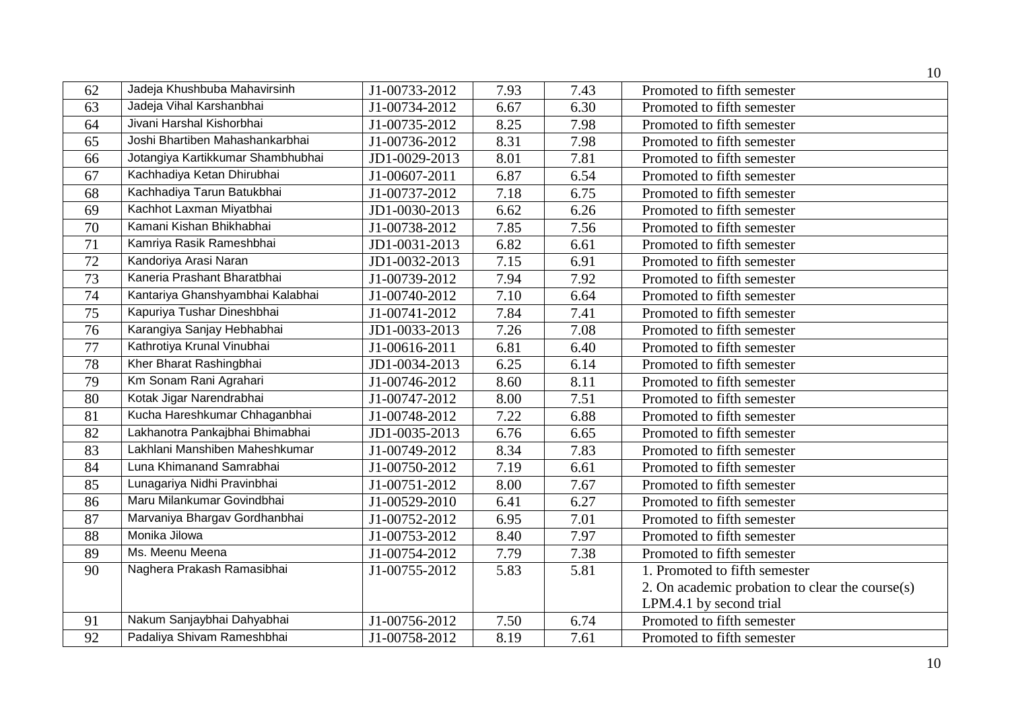|                 |                                   |               |      |      | 10                                              |
|-----------------|-----------------------------------|---------------|------|------|-------------------------------------------------|
| 62              | Jadeja Khushbuba Mahavirsinh      | J1-00733-2012 | 7.93 | 7.43 | Promoted to fifth semester                      |
| 63              | Jadeja Vihal Karshanbhai          | J1-00734-2012 | 6.67 | 6.30 | Promoted to fifth semester                      |
| 64              | Jivani Harshal Kishorbhai         | J1-00735-2012 | 8.25 | 7.98 | Promoted to fifth semester                      |
| $\overline{65}$ | Joshi Bhartiben Mahashankarbhai   | J1-00736-2012 | 8.31 | 7.98 | Promoted to fifth semester                      |
| 66              | Jotangiya Kartikkumar Shambhubhai | JD1-0029-2013 | 8.01 | 7.81 | Promoted to fifth semester                      |
| 67              | Kachhadiya Ketan Dhirubhai        | J1-00607-2011 | 6.87 | 6.54 | Promoted to fifth semester                      |
| 68              | Kachhadiya Tarun Batukbhai        | J1-00737-2012 | 7.18 | 6.75 | Promoted to fifth semester                      |
| 69              | Kachhot Laxman Miyatbhai          | JD1-0030-2013 | 6.62 | 6.26 | Promoted to fifth semester                      |
| $\overline{70}$ | Kamani Kishan Bhikhabhai          | J1-00738-2012 | 7.85 | 7.56 | Promoted to fifth semester                      |
| $\overline{71}$ | Kamriya Rasik Rameshbhai          | JD1-0031-2013 | 6.82 | 6.61 | Promoted to fifth semester                      |
| 72              | Kandoriya Arasi Naran             | JD1-0032-2013 | 7.15 | 6.91 | Promoted to fifth semester                      |
| 73              | Kaneria Prashant Bharatbhai       | J1-00739-2012 | 7.94 | 7.92 | Promoted to fifth semester                      |
| 74              | Kantariya Ghanshyambhai Kalabhai  | J1-00740-2012 | 7.10 | 6.64 | Promoted to fifth semester                      |
| 75              | Kapuriya Tushar Dineshbhai        | J1-00741-2012 | 7.84 | 7.41 | Promoted to fifth semester                      |
| 76              | Karangiya Sanjay Hebhabhai        | JD1-0033-2013 | 7.26 | 7.08 | Promoted to fifth semester                      |
| $\overline{77}$ | Kathrotiya Krunal Vinubhai        | J1-00616-2011 | 6.81 | 6.40 | Promoted to fifth semester                      |
| 78              | Kher Bharat Rashingbhai           | JD1-0034-2013 | 6.25 | 6.14 | Promoted to fifth semester                      |
| 79              | Km Sonam Rani Agrahari            | J1-00746-2012 | 8.60 | 8.11 | Promoted to fifth semester                      |
| 80              | Kotak Jigar Narendrabhai          | J1-00747-2012 | 8.00 | 7.51 | Promoted to fifth semester                      |
| $\overline{81}$ | Kucha Hareshkumar Chhaganbhai     | J1-00748-2012 | 7.22 | 6.88 | Promoted to fifth semester                      |
| 82              | Lakhanotra Pankajbhai Bhimabhai   | JD1-0035-2013 | 6.76 | 6.65 | Promoted to fifth semester                      |
| 83              | Lakhlani Manshiben Maheshkumar    | J1-00749-2012 | 8.34 | 7.83 | Promoted to fifth semester                      |
| 84              | Luna Khimanand Samrabhai          | J1-00750-2012 | 7.19 | 6.61 | Promoted to fifth semester                      |
| 85              | Lunagariya Nidhi Pravinbhai       | J1-00751-2012 | 8.00 | 7.67 | Promoted to fifth semester                      |
| 86              | Maru Milankumar Govindbhai        | J1-00529-2010 | 6.41 | 6.27 | Promoted to fifth semester                      |
| 87              | Marvaniya Bhargav Gordhanbhai     | J1-00752-2012 | 6.95 | 7.01 | Promoted to fifth semester                      |
| 88              | Monika Jilowa                     | J1-00753-2012 | 8.40 | 7.97 | Promoted to fifth semester                      |
| 89              | Ms. Meenu Meena                   | J1-00754-2012 | 7.79 | 7.38 | Promoted to fifth semester                      |
| 90              | Naghera Prakash Ramasibhai        | J1-00755-2012 | 5.83 | 5.81 | 1. Promoted to fifth semester                   |
|                 |                                   |               |      |      | 2. On academic probation to clear the course(s) |
|                 |                                   |               |      |      | LPM.4.1 by second trial                         |
| 91              | Nakum Sanjaybhai Dahyabhai        | J1-00756-2012 | 7.50 | 6.74 | Promoted to fifth semester                      |
| $\overline{92}$ | Padaliya Shivam Rameshbhai        | J1-00758-2012 | 8.19 | 7.61 | Promoted to fifth semester                      |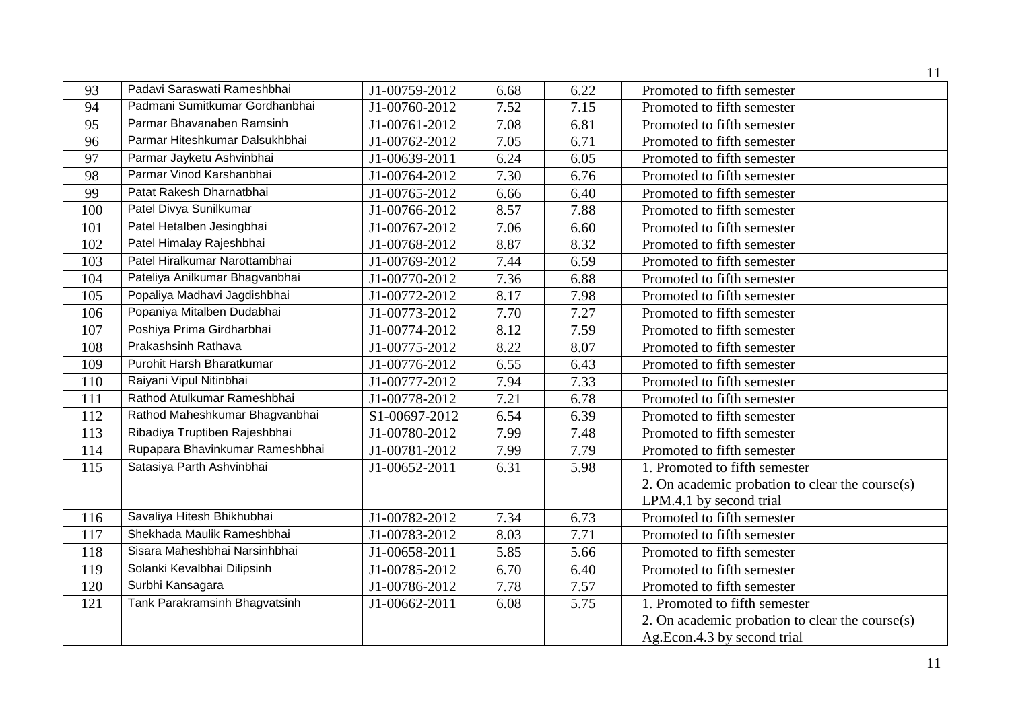|     |                                 |                             |      |      | 11                                              |
|-----|---------------------------------|-----------------------------|------|------|-------------------------------------------------|
| 93  | Padavi Saraswati Rameshbhai     | J1-00759-2012               | 6.68 | 6.22 | Promoted to fifth semester                      |
| 94  | Padmani Sumitkumar Gordhanbhai  | J1-00760-2012               | 7.52 | 7.15 | Promoted to fifth semester                      |
| 95  | Parmar Bhavanaben Ramsinh       | $\overline{J}$ 1-00761-2012 | 7.08 | 6.81 | Promoted to fifth semester                      |
| 96  | Parmar Hiteshkumar Dalsukhbhai  | J1-00762-2012               | 7.05 | 6.71 | Promoted to fifth semester                      |
| 97  | Parmar Jayketu Ashvinbhai       | J1-00639-2011               | 6.24 | 6.05 | Promoted to fifth semester                      |
| 98  | Parmar Vinod Karshanbhai        | J1-00764-2012               | 7.30 | 6.76 | Promoted to fifth semester                      |
| 99  | Patat Rakesh Dharnatbhai        | J1-00765-2012               | 6.66 | 6.40 | Promoted to fifth semester                      |
| 100 | Patel Divya Sunilkumar          | J1-00766-2012               | 8.57 | 7.88 | Promoted to fifth semester                      |
| 101 | Patel Hetalben Jesingbhai       | J1-00767-2012               | 7.06 | 6.60 | Promoted to fifth semester                      |
| 102 | Patel Himalay Rajeshbhai        | J1-00768-2012               | 8.87 | 8.32 | Promoted to fifth semester                      |
| 103 | Patel Hiralkumar Narottambhai   | J1-00769-2012               | 7.44 | 6.59 | Promoted to fifth semester                      |
| 104 | Pateliya Anilkumar Bhagvanbhai  | J1-00770-2012               | 7.36 | 6.88 | Promoted to fifth semester                      |
| 105 | Popaliya Madhavi Jagdishbhai    | J1-00772-2012               | 8.17 | 7.98 | Promoted to fifth semester                      |
| 106 | Popaniya Mitalben Dudabhai      | J1-00773-2012               | 7.70 | 7.27 | Promoted to fifth semester                      |
| 107 | Poshiya Prima Girdharbhai       | J1-00774-2012               | 8.12 | 7.59 | Promoted to fifth semester                      |
| 108 | Prakashsinh Rathava             | J1-00775-2012               | 8.22 | 8.07 | Promoted to fifth semester                      |
| 109 | Purohit Harsh Bharatkumar       | J1-00776-2012               | 6.55 | 6.43 | Promoted to fifth semester                      |
| 110 | Raiyani Vipul Nitinbhai         | J1-00777-2012               | 7.94 | 7.33 | Promoted to fifth semester                      |
| 111 | Rathod Atulkumar Rameshbhai     | J1-00778-2012               | 7.21 | 6.78 | Promoted to fifth semester                      |
| 112 | Rathod Maheshkumar Bhagvanbhai  | S1-00697-2012               | 6.54 | 6.39 | Promoted to fifth semester                      |
| 113 | Ribadiya Truptiben Rajeshbhai   | J1-00780-2012               | 7.99 | 7.48 | Promoted to fifth semester                      |
| 114 | Rupapara Bhavinkumar Rameshbhai | J1-00781-2012               | 7.99 | 7.79 | Promoted to fifth semester                      |
| 115 | Satasiya Parth Ashvinbhai       | J1-00652-2011               | 6.31 | 5.98 | 1. Promoted to fifth semester                   |
|     |                                 |                             |      |      | 2. On academic probation to clear the course(s) |
|     |                                 |                             |      |      | LPM.4.1 by second trial                         |
| 116 | Savaliya Hitesh Bhikhubhai      | J1-00782-2012               | 7.34 | 6.73 | Promoted to fifth semester                      |
| 117 | Shekhada Maulik Rameshbhai      | J1-00783-2012               | 8.03 | 7.71 | Promoted to fifth semester                      |
| 118 | Sisara Maheshbhai Narsinhbhai   | J1-00658-2011               | 5.85 | 5.66 | Promoted to fifth semester                      |
| 119 | Solanki Kevalbhai Dilipsinh     | J1-00785-2012               | 6.70 | 6.40 | Promoted to fifth semester                      |
| 120 | Surbhi Kansagara                | J1-00786-2012               | 7.78 | 7.57 | Promoted to fifth semester                      |
| 121 | Tank Parakramsinh Bhagvatsinh   | J1-00662-2011               | 6.08 | 5.75 | 1. Promoted to fifth semester                   |
|     |                                 |                             |      |      | 2. On academic probation to clear the course(s) |
|     |                                 |                             |      |      | Ag.Econ.4.3 by second trial                     |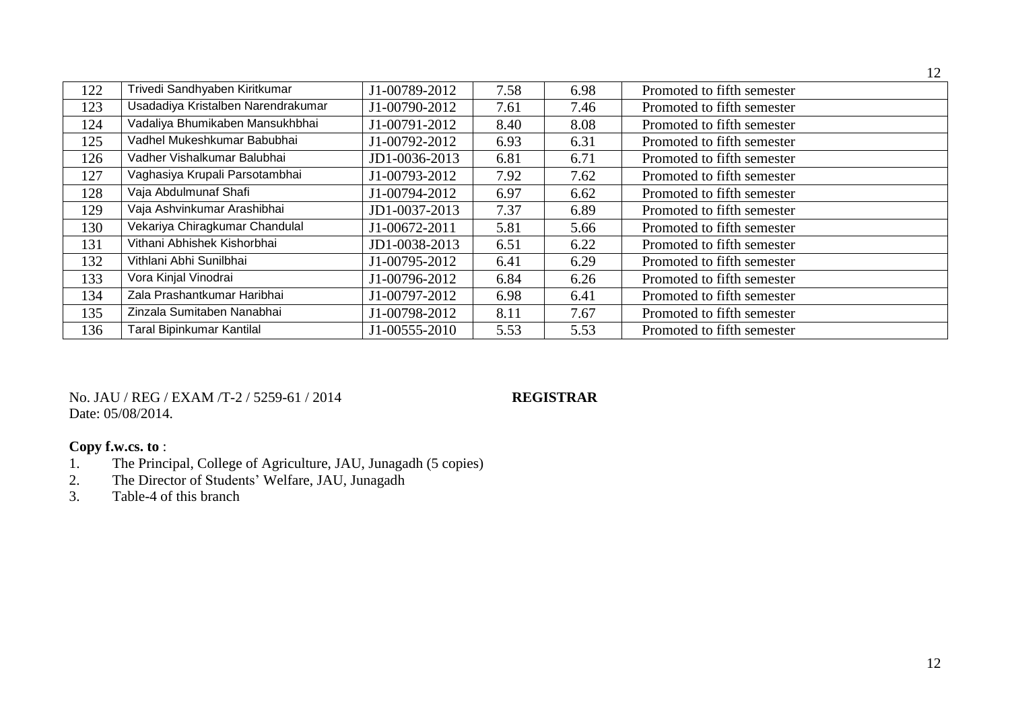|     |                                    |               |      |      | 12                         |
|-----|------------------------------------|---------------|------|------|----------------------------|
| 122 | Trivedi Sandhyaben Kiritkumar      | J1-00789-2012 | 7.58 | 6.98 | Promoted to fifth semester |
| 123 | Usadadiya Kristalben Narendrakumar | J1-00790-2012 | 7.61 | 7.46 | Promoted to fifth semester |
| 124 | Vadaliya Bhumikaben Mansukhbhai    | J1-00791-2012 | 8.40 | 8.08 | Promoted to fifth semester |
| 125 | Vadhel Mukeshkumar Babubhai        | J1-00792-2012 | 6.93 | 6.31 | Promoted to fifth semester |
| 126 | Vadher Vishalkumar Balubhai        | JD1-0036-2013 | 6.81 | 6.71 | Promoted to fifth semester |
| 127 | Vaghasiya Krupali Parsotambhai     | J1-00793-2012 | 7.92 | 7.62 | Promoted to fifth semester |
| 128 | Vaja Abdulmunaf Shafi              | J1-00794-2012 | 6.97 | 6.62 | Promoted to fifth semester |
| 129 | Vaja Ashvinkumar Arashibhai        | JD1-0037-2013 | 7.37 | 6.89 | Promoted to fifth semester |
| 130 | Vekariya Chiragkumar Chandulal     | J1-00672-2011 | 5.81 | 5.66 | Promoted to fifth semester |
| 131 | Vithani Abhishek Kishorbhai        | JD1-0038-2013 | 6.51 | 6.22 | Promoted to fifth semester |
| 132 | Vithlani Abhi Sunilbhai            | J1-00795-2012 | 6.41 | 6.29 | Promoted to fifth semester |
| 133 | Vora Kinjal Vinodrai               | J1-00796-2012 | 6.84 | 6.26 | Promoted to fifth semester |
| 134 | Zala Prashantkumar Haribhai        | J1-00797-2012 | 6.98 | 6.41 | Promoted to fifth semester |
| 135 | Zinzala Sumitaben Nanabhai         | J1-00798-2012 | 8.11 | 7.67 | Promoted to fifth semester |
| 136 | <b>Taral Bipinkumar Kantilal</b>   | J1-00555-2010 | 5.53 | 5.53 | Promoted to fifth semester |

No. JAU / REG / EXAM /T-2 / 5259-61 / 2014 **REGISTRAR** Date: 05/08/2014.

# **Copy f.w.cs. to** :<br>1. The Princ

- 1. The Principal, College of Agriculture, JAU, Junagadh (5 copies)<br>2. The Director of Students' Welfare, JAU, Junagadh
- 2. The Director of Students' Welfare, JAU, Junagadh<br>3. Table-4 of this branch
- Table-4 of this branch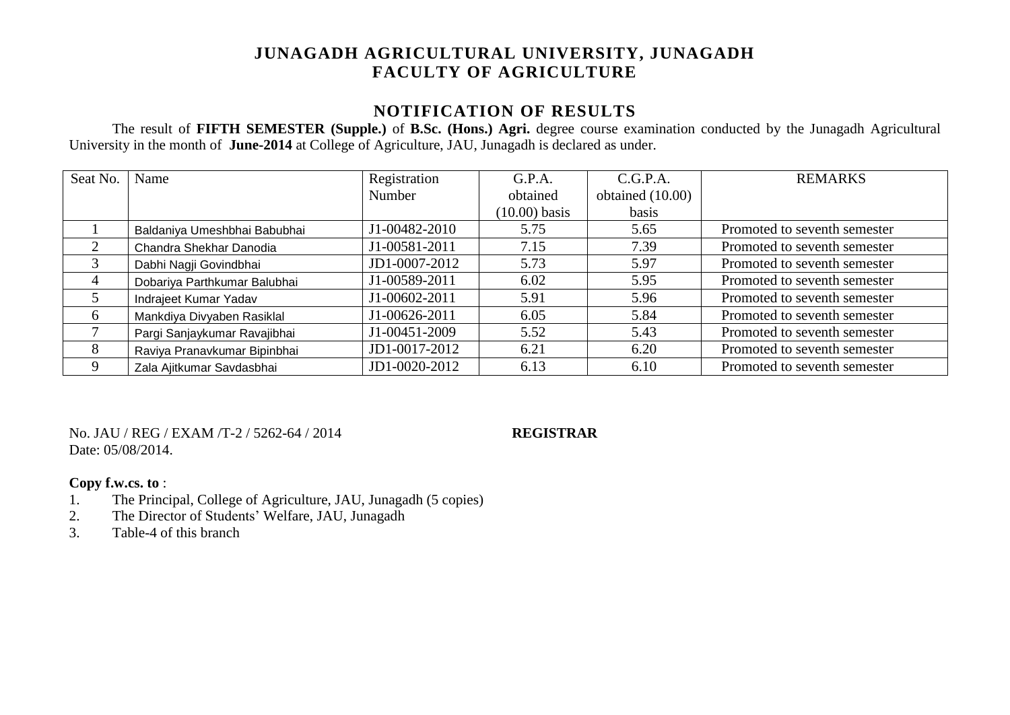# **JUNAGADH AGRICULTURAL UNIVERSITY, JUNAGADH FACULTY OF AGRICULTURE**

### **NOTIFICATION OF RESULTS**

The result of **FIFTH SEMESTER (Supple.)** of **B.Sc. (Hons.) Agri.** degree course examination conducted by the Junagadh Agricultural University in the month of **June-2014** at College of Agriculture, JAU, Junagadh is declared as under.

| Seat No. | Name                         | Registration  | G.P.A.          | C.G.P.A.           | <b>REMARKS</b>               |
|----------|------------------------------|---------------|-----------------|--------------------|------------------------------|
|          |                              | Number        | obtained        | obtained $(10.00)$ |                              |
|          |                              |               | $(10.00)$ basis | basis              |                              |
|          | Baldaniya Umeshbhai Babubhai | J1-00482-2010 | 5.75            | 5.65               | Promoted to seventh semester |
| 2        | Chandra Shekhar Danodia      | J1-00581-2011 | 7.15            | 7.39               | Promoted to seventh semester |
| 3        | Dabhi Nagji Govindbhai       | JD1-0007-2012 | 5.73            | 5.97               | Promoted to seventh semester |
| 4        | Dobariya Parthkumar Balubhai | J1-00589-2011 | 6.02            | 5.95               | Promoted to seventh semester |
|          | Indrajeet Kumar Yadav        | J1-00602-2011 | 5.91            | 5.96               | Promoted to seventh semester |
| 6        | Mankdiya Divyaben Rasiklal   | J1-00626-2011 | 6.05            | 5.84               | Promoted to seventh semester |
|          | Pargi Sanjaykumar Ravajibhai | J1-00451-2009 | 5.52            | 5.43               | Promoted to seventh semester |
| 8        | Raviya Pranavkumar Bipinbhai | JD1-0017-2012 | 6.21            | 6.20               | Promoted to seventh semester |
| 9        | Zala Ajitkumar Savdasbhai    | JD1-0020-2012 | 6.13            | 6.10               | Promoted to seventh semester |

No. JAU / REG / EXAM /T-2 / 5262-64 / 2014 **REGISTRAR** Date: 05/08/2014.

### **Copy f.w.cs. to** :

- 1. The Principal, College of Agriculture, JAU, Junagadh (5 copies)
- 2. The Director of Students' Welfare, JAU, Junagadh<br>
3 Table-4 of this branch
- Table-4 of this branch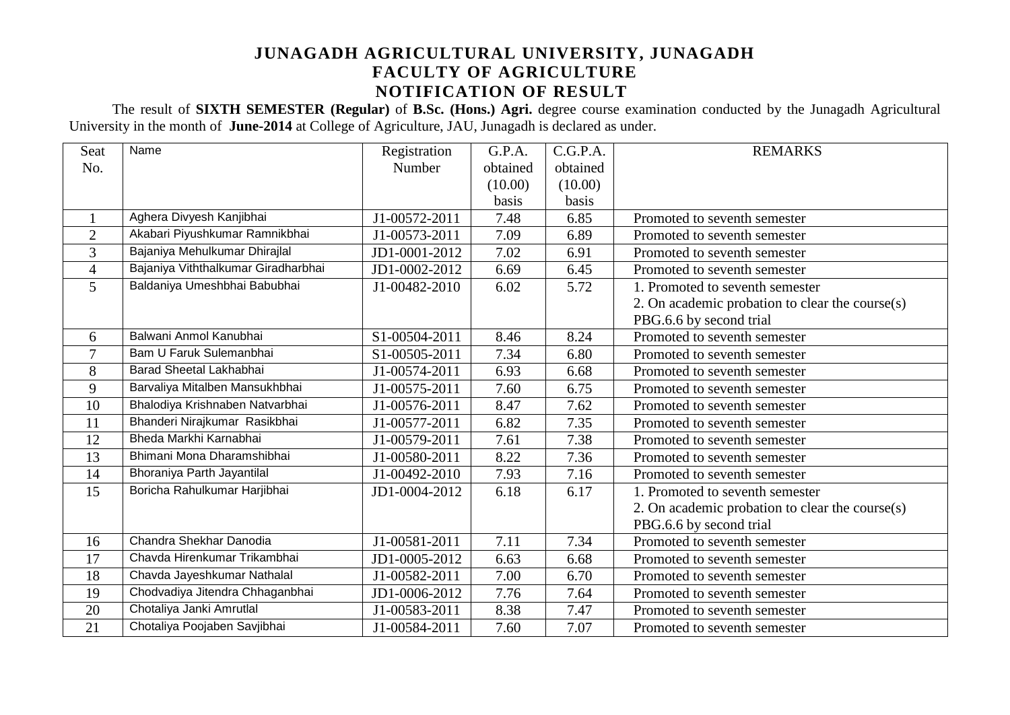## **JUNAGADH AGRICULTURAL UNIVERSITY, JUNAGADH FACULTY OF AGRICULTURE NOTIFICATION OF RESULT**

The result of **SIXTH SEMESTER (Regular)** of **B.Sc. (Hons.) Agri.** degree course examination conducted by the Junagadh Agricultural University in the month of **June-2014** at College of Agriculture, JAU, Junagadh is declared as under.

| Seat           | Name                                | Registration  | G.P.A.   | C.G.P.A. | <b>REMARKS</b>                                  |
|----------------|-------------------------------------|---------------|----------|----------|-------------------------------------------------|
| No.            |                                     | Number        | obtained | obtained |                                                 |
|                |                                     |               | (10.00)  | (10.00)  |                                                 |
|                |                                     |               | basis    | basis    |                                                 |
|                | Aghera Divyesh Kanjibhai            | J1-00572-2011 | 7.48     | 6.85     | Promoted to seventh semester                    |
| $\overline{2}$ | Akabari Piyushkumar Ramnikbhai      | J1-00573-2011 | 7.09     | 6.89     | Promoted to seventh semester                    |
| 3              | Bajaniya Mehulkumar Dhirajlal       | JD1-0001-2012 | 7.02     | 6.91     | Promoted to seventh semester                    |
| $\overline{4}$ | Bajaniya Viththalkumar Giradharbhai | JD1-0002-2012 | 6.69     | 6.45     | Promoted to seventh semester                    |
| 5              | Baldaniya Umeshbhai Babubhai        | J1-00482-2010 | 6.02     | 5.72     | 1. Promoted to seventh semester                 |
|                |                                     |               |          |          | 2. On academic probation to clear the course(s) |
|                |                                     |               |          |          | PBG.6.6 by second trial                         |
| 6              | Balwani Anmol Kanubhai              | S1-00504-2011 | 8.46     | 8.24     | Promoted to seventh semester                    |
| $\overline{7}$ | Bam U Faruk Sulemanbhai             | S1-00505-2011 | 7.34     | 6.80     | Promoted to seventh semester                    |
| 8              | Barad Sheetal Lakhabhai             | J1-00574-2011 | 6.93     | 6.68     | Promoted to seventh semester                    |
| 9              | Barvaliya Mitalben Mansukhbhai      | J1-00575-2011 | 7.60     | 6.75     | Promoted to seventh semester                    |
| 10             | Bhalodiya Krishnaben Natvarbhai     | J1-00576-2011 | 8.47     | 7.62     | Promoted to seventh semester                    |
| 11             | Bhanderi Nirajkumar Rasikbhai       | J1-00577-2011 | 6.82     | 7.35     | Promoted to seventh semester                    |
| 12             | Bheda Markhi Karnabhai              | J1-00579-2011 | 7.61     | 7.38     | Promoted to seventh semester                    |
| 13             | Bhimani Mona Dharamshibhai          | J1-00580-2011 | 8.22     | 7.36     | Promoted to seventh semester                    |
| 14             | Bhoraniya Parth Jayantilal          | J1-00492-2010 | 7.93     | 7.16     | Promoted to seventh semester                    |
| 15             | Boricha Rahulkumar Harjibhai        | JD1-0004-2012 | 6.18     | 6.17     | 1. Promoted to seventh semester                 |
|                |                                     |               |          |          | 2. On academic probation to clear the course(s) |
|                |                                     |               |          |          | PBG.6.6 by second trial                         |
| 16             | Chandra Shekhar Danodia             | J1-00581-2011 | 7.11     | 7.34     | Promoted to seventh semester                    |
| 17             | Chavda Hirenkumar Trikambhai        | JD1-0005-2012 | 6.63     | 6.68     | Promoted to seventh semester                    |
| 18             | Chavda Jayeshkumar Nathalal         | J1-00582-2011 | 7.00     | 6.70     | Promoted to seventh semester                    |
| 19             | Chodvadiya Jitendra Chhaganbhai     | JD1-0006-2012 | 7.76     | 7.64     | Promoted to seventh semester                    |
| 20             | Chotaliya Janki Amrutlal            | J1-00583-2011 | 8.38     | 7.47     | Promoted to seventh semester                    |
| 21             | Chotaliya Poojaben Savjibhai        | J1-00584-2011 | 7.60     | 7.07     | Promoted to seventh semester                    |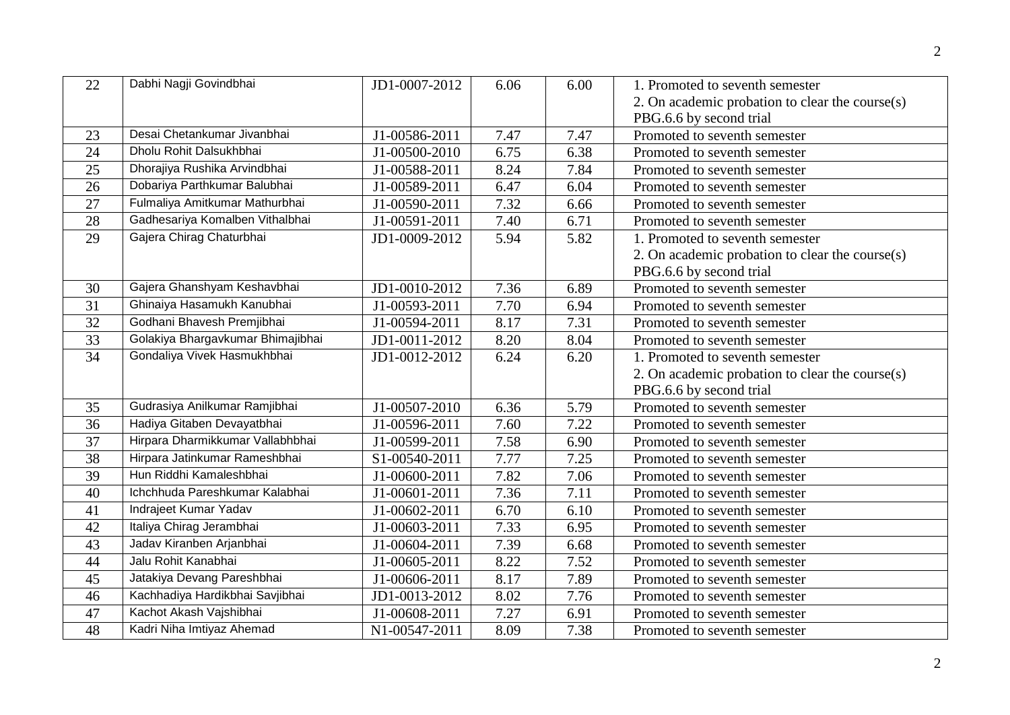| 22 | Dabhi Nagji Govindbhai            | JD1-0007-2012               | 6.06              | 6.00 | 1. Promoted to seventh semester                 |
|----|-----------------------------------|-----------------------------|-------------------|------|-------------------------------------------------|
|    |                                   |                             |                   |      | 2. On academic probation to clear the course(s) |
|    |                                   |                             |                   |      | PBG.6.6 by second trial                         |
| 23 | Desai Chetankumar Jivanbhai       | J1-00586-2011               | 7.47              | 7.47 | Promoted to seventh semester                    |
| 24 | Dholu Rohit Dalsukhbhai           | J1-00500-2010               | 6.75              | 6.38 | Promoted to seventh semester                    |
| 25 | Dhorajiya Rushika Arvindbhai      | J1-00588-2011               | 8.24              | 7.84 | Promoted to seventh semester                    |
| 26 | Dobariya Parthkumar Balubhai      | J1-00589-2011               | 6.47              | 6.04 | Promoted to seventh semester                    |
| 27 | Fulmaliya Amitkumar Mathurbhai    | J1-00590-2011               | 7.32              | 6.66 | Promoted to seventh semester                    |
| 28 | Gadhesariya Komalben Vithalbhai   | J1-00591-2011               | 7.40              | 6.71 | Promoted to seventh semester                    |
| 29 | Gajera Chirag Chaturbhai          | JD1-0009-2012               | 5.94              | 5.82 | 1. Promoted to seventh semester                 |
|    |                                   |                             |                   |      | 2. On academic probation to clear the course(s) |
|    |                                   |                             |                   |      | PBG.6.6 by second trial                         |
| 30 | Gajera Ghanshyam Keshavbhai       | JD1-0010-2012               | 7.36              | 6.89 | Promoted to seventh semester                    |
| 31 | Ghinaiya Hasamukh Kanubhai        | J1-00593-2011               | 7.70              | 6.94 | Promoted to seventh semester                    |
| 32 | Godhani Bhavesh Premjibhai        | J1-00594-2011               | 8.17              | 7.31 | Promoted to seventh semester                    |
| 33 | Golakiya Bhargavkumar Bhimajibhai | JD1-0011-2012               | 8.20              | 8.04 | Promoted to seventh semester                    |
| 34 | Gondaliya Vivek Hasmukhbhai       | JD1-0012-2012               | 6.24              | 6.20 | 1. Promoted to seventh semester                 |
|    |                                   |                             |                   |      | 2. On academic probation to clear the course(s) |
|    |                                   |                             |                   |      | PBG.6.6 by second trial                         |
| 35 | Gudrasiya Anilkumar Ramjibhai     | J1-00507-2010               | 6.36              | 5.79 | Promoted to seventh semester                    |
| 36 | Hadiya Gitaben Devayatbhai        | J1-00596-2011               | 7.60              | 7.22 | Promoted to seventh semester                    |
| 37 | Hirpara Dharmikkumar Vallabhbhai  | J1-00599-2011               | 7.58              | 6.90 | Promoted to seventh semester                    |
| 38 | Hirpara Jatinkumar Rameshbhai     | S1-00540-2011               | 7.77              | 7.25 | Promoted to seventh semester                    |
| 39 | Hun Riddhi Kamaleshbhai           | J1-00600-2011               | 7.82              | 7.06 | Promoted to seventh semester                    |
| 40 | Ichchhuda Pareshkumar Kalabhai    | J1-00601-2011               | 7.36              | 7.11 | Promoted to seventh semester                    |
| 41 | Indrajeet Kumar Yadav             | J1-00602-2011               | 6.70              | 6.10 | Promoted to seventh semester                    |
| 42 | Italiya Chirag Jerambhai          | $\overline{J}$ 1-00603-2011 | 7.33              | 6.95 | Promoted to seventh semester                    |
| 43 | Jadav Kiranben Arjanbhai          | J1-00604-2011               | 7.39              | 6.68 | Promoted to seventh semester                    |
| 44 | Jalu Rohit Kanabhai               | J1-00605-2011               | 8.22              | 7.52 | Promoted to seventh semester                    |
| 45 | Jatakiya Devang Pareshbhai        | J1-00606-2011               | $\overline{8.17}$ | 7.89 | Promoted to seventh semester                    |
| 46 | Kachhadiya Hardikbhai Savjibhai   | JD1-0013-2012               | 8.02              | 7.76 | Promoted to seventh semester                    |
| 47 | Kachot Akash Vajshibhai           | J1-00608-2011               | 7.27              | 6.91 | Promoted to seventh semester                    |
| 48 | Kadri Niha Imtiyaz Ahemad         | N1-00547-2011               | 8.09              | 7.38 | Promoted to seventh semester                    |
|    |                                   |                             |                   |      |                                                 |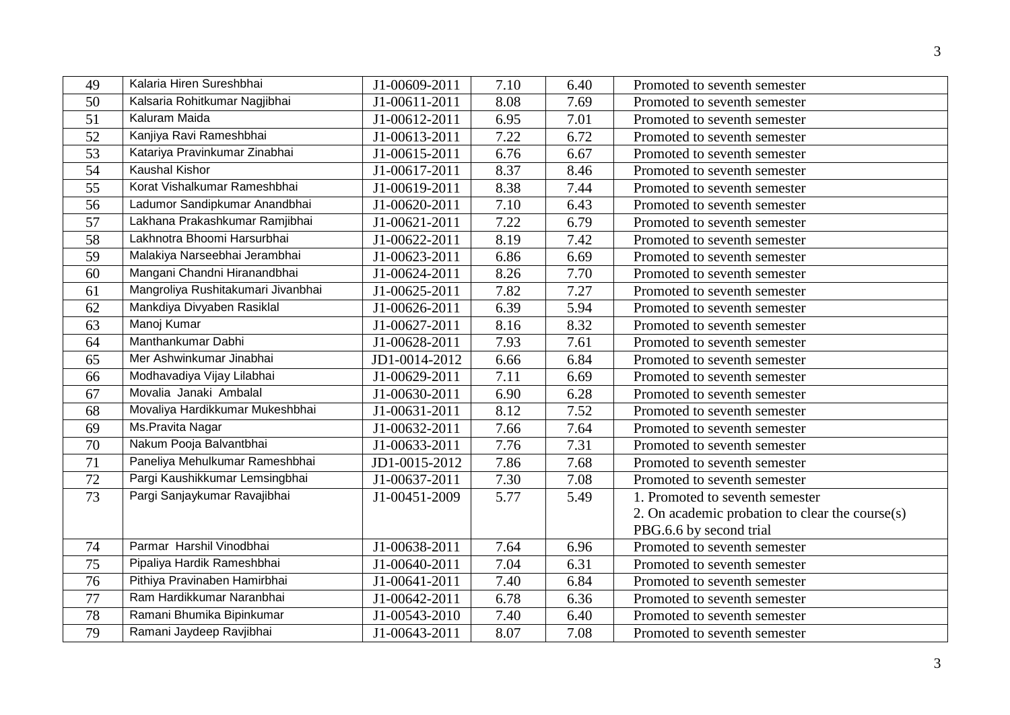| 49              | Kalaria Hiren Sureshbhai           | J1-00609-2011               | 7.10 | 6.40 | Promoted to seventh semester                    |
|-----------------|------------------------------------|-----------------------------|------|------|-------------------------------------------------|
| 50              | Kalsaria Rohitkumar Nagjibhai      | J1-00611-2011               | 8.08 | 7.69 | Promoted to seventh semester                    |
| 51              | Kaluram Maida                      | J1-00612-2011               | 6.95 | 7.01 | Promoted to seventh semester                    |
| 52              | Kanjiya Ravi Rameshbhai            | J1-00613-2011               | 7.22 | 6.72 | Promoted to seventh semester                    |
| 53              | Katariya Pravinkumar Zinabhai      | J1-00615-2011               | 6.76 | 6.67 | Promoted to seventh semester                    |
| 54              | <b>Kaushal Kishor</b>              | $\overline{J}$ 1-00617-2011 | 8.37 | 8.46 | Promoted to seventh semester                    |
| 55              | Korat Vishalkumar Rameshbhai       | J1-00619-2011               | 8.38 | 7.44 | Promoted to seventh semester                    |
| 56              | Ladumor Sandipkumar Anandbhai      | J1-00620-2011               | 7.10 | 6.43 | Promoted to seventh semester                    |
| 57              | Lakhana Prakashkumar Ramjibhai     | J1-00621-2011               | 7.22 | 6.79 | Promoted to seventh semester                    |
| 58              | Lakhnotra Bhoomi Harsurbhai        | J1-00622-2011               | 8.19 | 7.42 | Promoted to seventh semester                    |
| 59              | Malakiya Narseebhai Jerambhai      | J1-00623-2011               | 6.86 | 6.69 | Promoted to seventh semester                    |
| 60              | Mangani Chandni Hiranandbhai       | J1-00624-2011               | 8.26 | 7.70 | Promoted to seventh semester                    |
| 61              | Mangroliya Rushitakumari Jivanbhai | J1-00625-2011               | 7.82 | 7.27 | Promoted to seventh semester                    |
| 62              | Mankdiya Divyaben Rasiklal         | J1-00626-2011               | 6.39 | 5.94 | Promoted to seventh semester                    |
| 63              | Manoj Kumar                        | J1-00627-2011               | 8.16 | 8.32 | Promoted to seventh semester                    |
| 64              | Manthankumar Dabhi                 | J1-00628-2011               | 7.93 | 7.61 | Promoted to seventh semester                    |
| 65              | Mer Ashwinkumar Jinabhai           | JD1-0014-2012               | 6.66 | 6.84 | Promoted to seventh semester                    |
| 66              | Modhavadiya Vijay Lilabhai         | J1-00629-2011               | 7.11 | 6.69 | Promoted to seventh semester                    |
| 67              | Movalia Janaki Ambalal             | J1-00630-2011               | 6.90 | 6.28 | Promoted to seventh semester                    |
| 68              | Movaliya Hardikkumar Mukeshbhai    | J1-00631-2011               | 8.12 | 7.52 | Promoted to seventh semester                    |
| 69              | Ms. Pravita Nagar                  | J1-00632-2011               | 7.66 | 7.64 | Promoted to seventh semester                    |
| 70              | Nakum Pooja Balvantbhai            | J1-00633-2011               | 7.76 | 7.31 | Promoted to seventh semester                    |
| $\overline{71}$ | Paneliya Mehulkumar Rameshbhai     | JD1-0015-2012               | 7.86 | 7.68 | Promoted to seventh semester                    |
| 72              | Pargi Kaushikkumar Lemsingbhai     | J1-00637-2011               | 7.30 | 7.08 | Promoted to seventh semester                    |
| 73              | Pargi Sanjaykumar Ravajibhai       | J1-00451-2009               | 5.77 | 5.49 | 1. Promoted to seventh semester                 |
|                 |                                    |                             |      |      | 2. On academic probation to clear the course(s) |
|                 |                                    |                             |      |      | PBG.6.6 by second trial                         |
| 74              | Parmar Harshil Vinodbhai           | J1-00638-2011               | 7.64 | 6.96 | Promoted to seventh semester                    |
| 75              | Pipaliya Hardik Rameshbhai         | J1-00640-2011               | 7.04 | 6.31 | Promoted to seventh semester                    |
| 76              | Pithiya Pravinaben Hamirbhai       | J1-00641-2011               | 7.40 | 6.84 | Promoted to seventh semester                    |
| 77              | Ram Hardikkumar Naranbhai          | J1-00642-2011               | 6.78 | 6.36 | Promoted to seventh semester                    |
| 78              | Ramani Bhumika Bipinkumar          | J1-00543-2010               | 7.40 | 6.40 | Promoted to seventh semester                    |
| 79              | Ramani Jaydeep Ravjibhai           | J1-00643-2011               | 8.07 | 7.08 | Promoted to seventh semester                    |
|                 |                                    |                             |      |      |                                                 |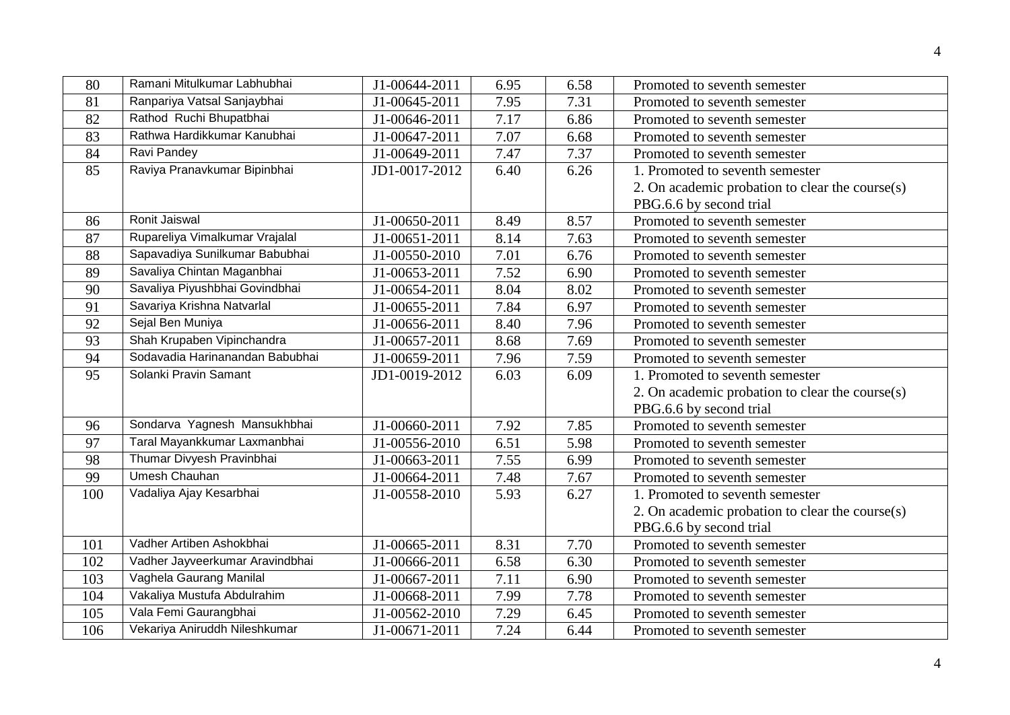| 80              | Ramani Mitulkumar Labhubhai     | J1-00644-2011 | 6.95 | 6.58 | Promoted to seventh semester                    |
|-----------------|---------------------------------|---------------|------|------|-------------------------------------------------|
| 81              | Ranpariya Vatsal Sanjaybhai     | J1-00645-2011 | 7.95 | 7.31 | Promoted to seventh semester                    |
| 82              | Rathod Ruchi Bhupatbhai         | J1-00646-2011 | 7.17 | 6.86 | Promoted to seventh semester                    |
| $\overline{83}$ | Rathwa Hardikkumar Kanubhai     | J1-00647-2011 | 7.07 | 6.68 | Promoted to seventh semester                    |
| 84              | <b>Ravi Pandey</b>              | J1-00649-2011 | 7.47 | 7.37 | Promoted to seventh semester                    |
| 85              | Raviya Pranavkumar Bipinbhai    | JD1-0017-2012 | 6.40 | 6.26 | 1. Promoted to seventh semester                 |
|                 |                                 |               |      |      | 2. On academic probation to clear the course(s) |
|                 |                                 |               |      |      | PBG.6.6 by second trial                         |
| 86              | Ronit Jaiswal                   | J1-00650-2011 | 8.49 | 8.57 | Promoted to seventh semester                    |
| 87              | Rupareliya Vimalkumar Vrajalal  | J1-00651-2011 | 8.14 | 7.63 | Promoted to seventh semester                    |
| 88              | Sapavadiya Sunilkumar Babubhai  | J1-00550-2010 | 7.01 | 6.76 | Promoted to seventh semester                    |
| 89              | Savaliya Chintan Maganbhai      | J1-00653-2011 | 7.52 | 6.90 | Promoted to seventh semester                    |
| 90              | Savaliya Piyushbhai Govindbhai  | J1-00654-2011 | 8.04 | 8.02 | Promoted to seventh semester                    |
| 91              | Savariya Krishna Natvarlal      | J1-00655-2011 | 7.84 | 6.97 | Promoted to seventh semester                    |
| 92              | Sejal Ben Muniya                | J1-00656-2011 | 8.40 | 7.96 | Promoted to seventh semester                    |
| 93              | Shah Krupaben Vipinchandra      | J1-00657-2011 | 8.68 | 7.69 | Promoted to seventh semester                    |
| 94              | Sodavadia Harinanandan Babubhai | J1-00659-2011 | 7.96 | 7.59 | Promoted to seventh semester                    |
| 95              | Solanki Pravin Samant           | JD1-0019-2012 | 6.03 | 6.09 | 1. Promoted to seventh semester                 |
|                 |                                 |               |      |      | 2. On academic probation to clear the course(s) |
|                 |                                 |               |      |      | PBG.6.6 by second trial                         |
| 96              | Sondarva Yagnesh Mansukhbhai    | J1-00660-2011 | 7.92 | 7.85 | Promoted to seventh semester                    |
| 97              | Taral Mayankkumar Laxmanbhai    | J1-00556-2010 | 6.51 | 5.98 | Promoted to seventh semester                    |
| 98              | Thumar Divyesh Pravinbhai       | J1-00663-2011 | 7.55 | 6.99 | Promoted to seventh semester                    |
| 99              | <b>Umesh Chauhan</b>            | J1-00664-2011 | 7.48 | 7.67 | Promoted to seventh semester                    |
| 100             | Vadaliya Ajay Kesarbhai         | J1-00558-2010 | 5.93 | 6.27 | 1. Promoted to seventh semester                 |
|                 |                                 |               |      |      | 2. On academic probation to clear the course(s) |
|                 |                                 |               |      |      | PBG.6.6 by second trial                         |
| 101             | Vadher Artiben Ashokbhai        | J1-00665-2011 | 8.31 | 7.70 | Promoted to seventh semester                    |
| 102             | Vadher Jayveerkumar Aravindbhai | J1-00666-2011 | 6.58 | 6.30 | Promoted to seventh semester                    |
| 103             | Vaghela Gaurang Manilal         | J1-00667-2011 | 7.11 | 6.90 | Promoted to seventh semester                    |
| 104             | Vakaliya Mustufa Abdulrahim     | J1-00668-2011 | 7.99 | 7.78 | Promoted to seventh semester                    |
| 105             | Vala Femi Gaurangbhai           | J1-00562-2010 | 7.29 | 6.45 | Promoted to seventh semester                    |
| 106             | Vekariya Aniruddh Nileshkumar   | J1-00671-2011 | 7.24 | 6.44 | Promoted to seventh semester                    |
|                 |                                 |               |      |      |                                                 |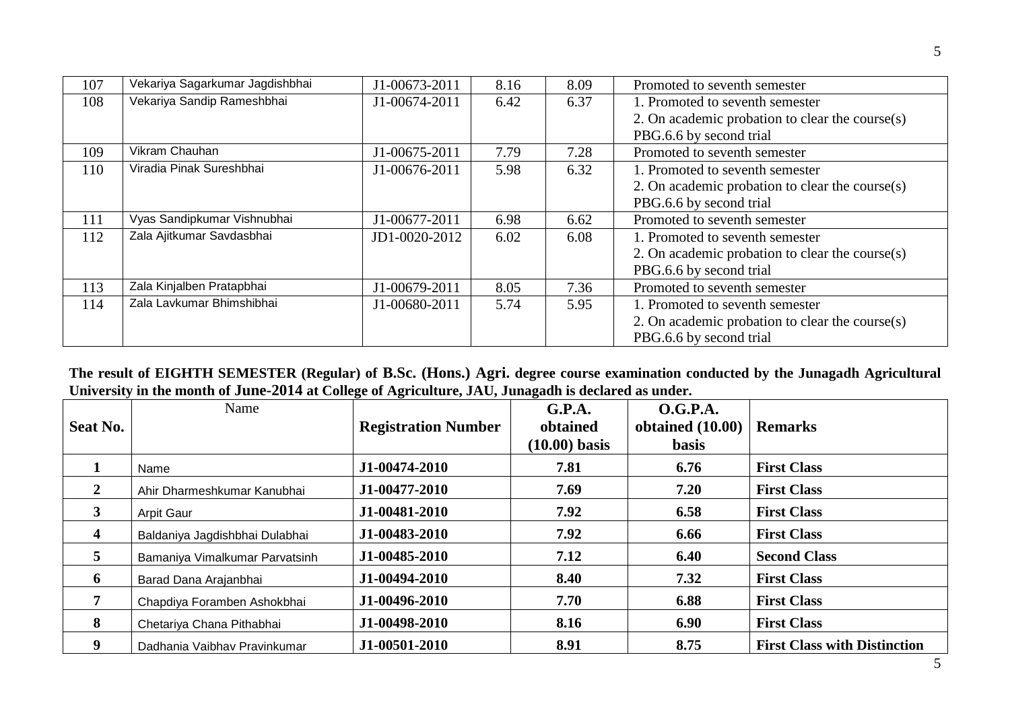| 107 | Vekariya Sagarkumar Jagdishbhai | J1-00673-2011 | 8.16 | 8.09 | Promoted to seventh semester                    |
|-----|---------------------------------|---------------|------|------|-------------------------------------------------|
| 108 | Vekariya Sandip Rameshbhai      | J1-00674-2011 | 6.42 | 6.37 | 1. Promoted to seventh semester                 |
|     |                                 |               |      |      | 2. On academic probation to clear the course(s) |
|     |                                 |               |      |      | PBG.6.6 by second trial                         |
| 109 | Vikram Chauhan                  | J1-00675-2011 | 7.79 | 7.28 | Promoted to seventh semester                    |
| 110 | Viradia Pinak Sureshbhai        | J1-00676-2011 | 5.98 | 6.32 | 1. Promoted to seventh semester                 |
|     |                                 |               |      |      | 2. On academic probation to clear the course(s) |
|     |                                 |               |      |      | PBG.6.6 by second trial                         |
| 111 | Vyas Sandipkumar Vishnubhai     | J1-00677-2011 | 6.98 | 6.62 | Promoted to seventh semester                    |
| 112 | Zala Ajitkumar Savdasbhai       | JD1-0020-2012 | 6.02 | 6.08 | 1. Promoted to seventh semester                 |
|     |                                 |               |      |      | 2. On academic probation to clear the course(s) |
|     |                                 |               |      |      | PBG.6.6 by second trial                         |
| 113 | Zala Kinjalben Pratapbhai       | J1-00679-2011 | 8.05 | 7.36 | Promoted to seventh semester                    |
| 114 | Zala Lavkumar Bhimshibhai       | J1-00680-2011 | 5.74 | 5.95 | 1. Promoted to seventh semester                 |
|     |                                 |               |      |      | 2. On academic probation to clear the course(s) |
|     |                                 |               |      |      | PBG.6.6 by second trial                         |

**The result of EIGHTH SEMESTER (Regular) of B.Sc. (Hons.) Agri. degree course examination conducted by the Junagadh Agricultural University in the month of June-2014 at College of Agriculture, JAU, Junagadh is declared as under.**

| Seat No.    | Name                           | <b>Registration Number</b> | G.P.A.<br>obtained<br>$(10.00)$ basis | O.G.P.A.<br>obtained $(10.00)$<br><b>basis</b> | <b>Remarks</b>                      |
|-------------|--------------------------------|----------------------------|---------------------------------------|------------------------------------------------|-------------------------------------|
|             | Name                           | J1-00474-2010              | 7.81                                  | 6.76                                           | <b>First Class</b>                  |
| 2           | Ahir Dharmeshkumar Kanubhai    | J1-00477-2010              | 7.69                                  | 7.20                                           | <b>First Class</b>                  |
| $3^{\circ}$ | Arpit Gaur                     | J1-00481-2010              | 7.92                                  | 6.58                                           | <b>First Class</b>                  |
| 4           | Baldaniya Jagdishbhai Dulabhai | J1-00483-2010              | 7.92                                  | 6.66                                           | <b>First Class</b>                  |
| $5^{\circ}$ | Bamaniya Vimalkumar Parvatsinh | J1-00485-2010              | 7.12                                  | 6.40                                           | <b>Second Class</b>                 |
| 6           | Barad Dana Arajanbhai          | J1-00494-2010              | 8.40                                  | 7.32                                           | <b>First Class</b>                  |
|             | Chapdiya Foramben Ashokbhai    | J1-00496-2010              | 7.70                                  | 6.88                                           | <b>First Class</b>                  |
| 8           | Chetariya Chana Pithabhai      | J1-00498-2010              | 8.16                                  | 6.90                                           | <b>First Class</b>                  |
| 9           | Dadhania Vaibhav Pravinkumar   | J1-00501-2010              | 8.91                                  | 8.75                                           | <b>First Class with Distinction</b> |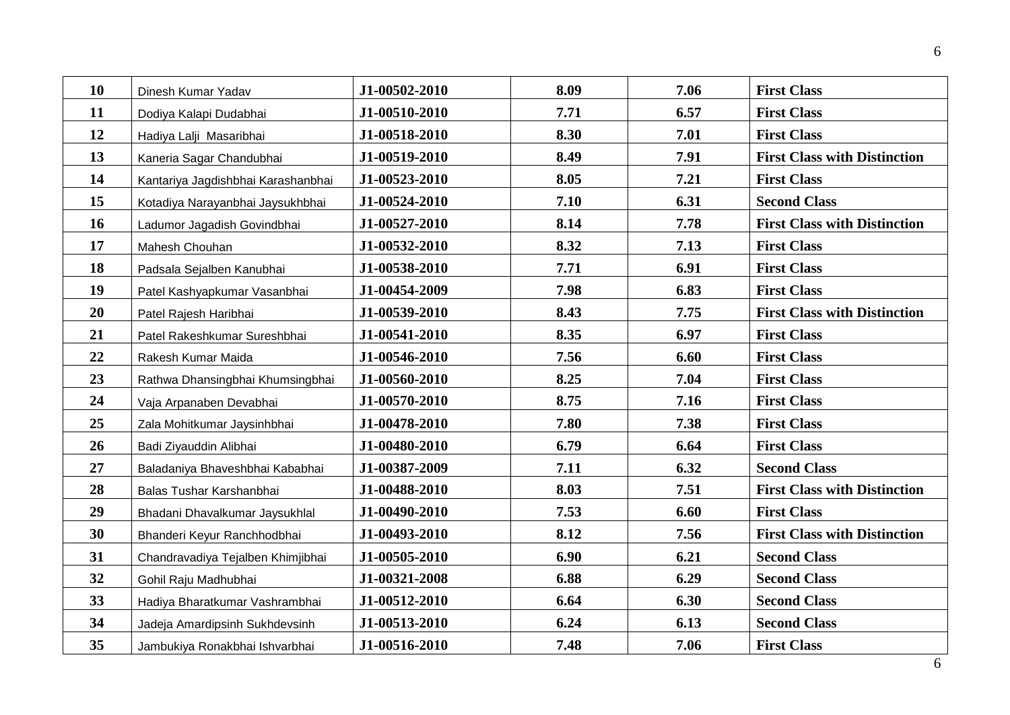| 10 | Dinesh Kumar Yadav                 | J1-00502-2010 | 8.09 | 7.06 | <b>First Class</b>                  |
|----|------------------------------------|---------------|------|------|-------------------------------------|
| 11 | Dodiya Kalapi Dudabhai             | J1-00510-2010 | 7.71 | 6.57 | <b>First Class</b>                  |
| 12 | Hadiya Lalji Masaribhai            | J1-00518-2010 | 8.30 | 7.01 | <b>First Class</b>                  |
| 13 | Kaneria Sagar Chandubhai           | J1-00519-2010 | 8.49 | 7.91 | <b>First Class with Distinction</b> |
| 14 | Kantariya Jagdishbhai Karashanbhai | J1-00523-2010 | 8.05 | 7.21 | <b>First Class</b>                  |
| 15 | Kotadiya Narayanbhai Jaysukhbhai   | J1-00524-2010 | 7.10 | 6.31 | <b>Second Class</b>                 |
| 16 | Ladumor Jagadish Govindbhai        | J1-00527-2010 | 8.14 | 7.78 | <b>First Class with Distinction</b> |
| 17 | Mahesh Chouhan                     | J1-00532-2010 | 8.32 | 7.13 | <b>First Class</b>                  |
| 18 | Padsala Sejalben Kanubhai          | J1-00538-2010 | 7.71 | 6.91 | <b>First Class</b>                  |
| 19 | Patel Kashyapkumar Vasanbhai       | J1-00454-2009 | 7.98 | 6.83 | <b>First Class</b>                  |
| 20 | Patel Rajesh Haribhai              | J1-00539-2010 | 8.43 | 7.75 | <b>First Class with Distinction</b> |
| 21 | Patel Rakeshkumar Sureshbhai       | J1-00541-2010 | 8.35 | 6.97 | <b>First Class</b>                  |
| 22 | Rakesh Kumar Maida                 | J1-00546-2010 | 7.56 | 6.60 | <b>First Class</b>                  |
| 23 | Rathwa Dhansingbhai Khumsingbhai   | J1-00560-2010 | 8.25 | 7.04 | <b>First Class</b>                  |
| 24 | Vaja Arpanaben Devabhai            | J1-00570-2010 | 8.75 | 7.16 | <b>First Class</b>                  |
| 25 | Zala Mohitkumar Jaysinhbhai        | J1-00478-2010 | 7.80 | 7.38 | <b>First Class</b>                  |
| 26 | Badi Ziyauddin Alibhai             | J1-00480-2010 | 6.79 | 6.64 | <b>First Class</b>                  |
| 27 | Baladaniya Bhaveshbhai Kababhai    | J1-00387-2009 | 7.11 | 6.32 | <b>Second Class</b>                 |
| 28 | Balas Tushar Karshanbhai           | J1-00488-2010 | 8.03 | 7.51 | <b>First Class with Distinction</b> |
| 29 | Bhadani Dhavalkumar Jaysukhlal     | J1-00490-2010 | 7.53 | 6.60 | <b>First Class</b>                  |
| 30 | Bhanderi Keyur Ranchhodbhai        | J1-00493-2010 | 8.12 | 7.56 | <b>First Class with Distinction</b> |
| 31 | Chandravadiya Tejalben Khimjibhai  | J1-00505-2010 | 6.90 | 6.21 | <b>Second Class</b>                 |
| 32 | Gohil Raju Madhubhai               | J1-00321-2008 | 6.88 | 6.29 | <b>Second Class</b>                 |
| 33 | Hadiya Bharatkumar Vashrambhai     | J1-00512-2010 | 6.64 | 6.30 | <b>Second Class</b>                 |
| 34 | Jadeja Amardipsinh Sukhdevsinh     | J1-00513-2010 | 6.24 | 6.13 | <b>Second Class</b>                 |
| 35 | Jambukiya Ronakbhai Ishvarbhai     | J1-00516-2010 | 7.48 | 7.06 | <b>First Class</b>                  |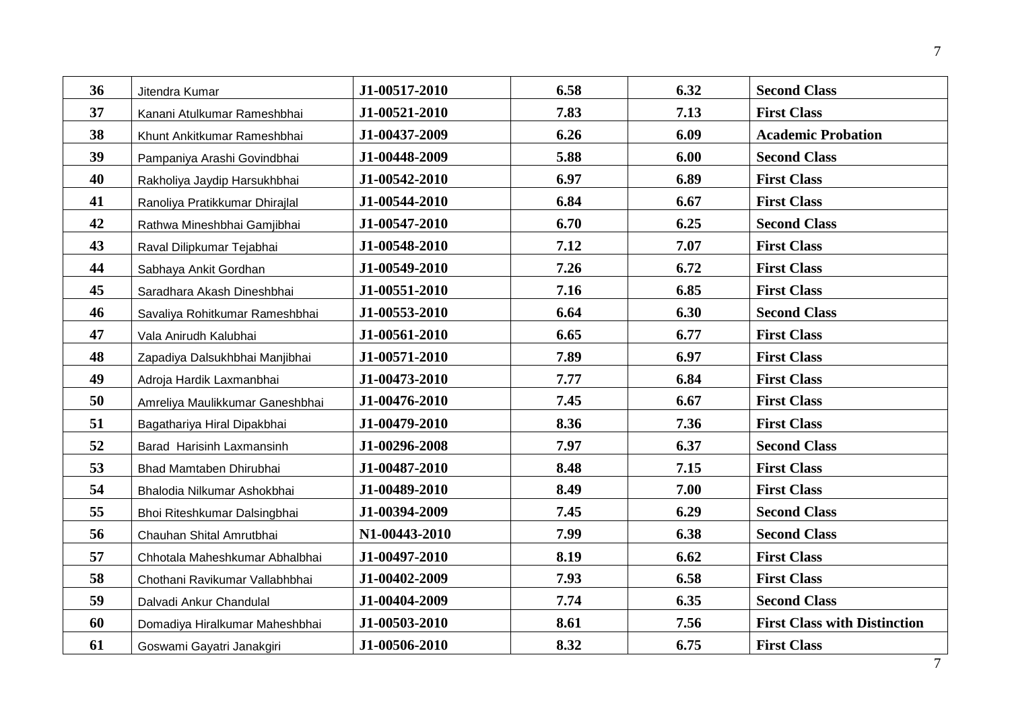| 36 | Jitendra Kumar                  | J1-00517-2010 | 6.58 | 6.32 | <b>Second Class</b>                 |
|----|---------------------------------|---------------|------|------|-------------------------------------|
| 37 | Kanani Atulkumar Rameshbhai     | J1-00521-2010 | 7.83 | 7.13 | <b>First Class</b>                  |
| 38 | Khunt Ankitkumar Rameshbhai     | J1-00437-2009 | 6.26 | 6.09 | <b>Academic Probation</b>           |
| 39 | Pampaniya Arashi Govindbhai     | J1-00448-2009 | 5.88 | 6.00 | <b>Second Class</b>                 |
| 40 | Rakholiya Jaydip Harsukhbhai    | J1-00542-2010 | 6.97 | 6.89 | <b>First Class</b>                  |
| 41 | Ranoliya Pratikkumar Dhirajlal  | J1-00544-2010 | 6.84 | 6.67 | <b>First Class</b>                  |
| 42 | Rathwa Mineshbhai Gamjibhai     | J1-00547-2010 | 6.70 | 6.25 | <b>Second Class</b>                 |
| 43 | Raval Dilipkumar Tejabhai       | J1-00548-2010 | 7.12 | 7.07 | <b>First Class</b>                  |
| 44 | Sabhaya Ankit Gordhan           | J1-00549-2010 | 7.26 | 6.72 | <b>First Class</b>                  |
| 45 | Saradhara Akash Dineshbhai      | J1-00551-2010 | 7.16 | 6.85 | <b>First Class</b>                  |
| 46 | Savaliya Rohitkumar Rameshbhai  | J1-00553-2010 | 6.64 | 6.30 | <b>Second Class</b>                 |
| 47 | Vala Anirudh Kalubhai           | J1-00561-2010 | 6.65 | 6.77 | <b>First Class</b>                  |
| 48 | Zapadiya Dalsukhbhai Manjibhai  | J1-00571-2010 | 7.89 | 6.97 | <b>First Class</b>                  |
| 49 | Adroja Hardik Laxmanbhai        | J1-00473-2010 | 7.77 | 6.84 | <b>First Class</b>                  |
| 50 | Amreliya Maulikkumar Ganeshbhai | J1-00476-2010 | 7.45 | 6.67 | <b>First Class</b>                  |
| 51 | Bagathariya Hiral Dipakbhai     | J1-00479-2010 | 8.36 | 7.36 | <b>First Class</b>                  |
| 52 | Barad Harisinh Laxmansinh       | J1-00296-2008 | 7.97 | 6.37 | <b>Second Class</b>                 |
| 53 | Bhad Mamtaben Dhirubhai         | J1-00487-2010 | 8.48 | 7.15 | <b>First Class</b>                  |
| 54 | Bhalodia Nilkumar Ashokbhai     | J1-00489-2010 | 8.49 | 7.00 | <b>First Class</b>                  |
| 55 | Bhoi Riteshkumar Dalsingbhai    | J1-00394-2009 | 7.45 | 6.29 | <b>Second Class</b>                 |
| 56 | Chauhan Shital Amrutbhai        | N1-00443-2010 | 7.99 | 6.38 | <b>Second Class</b>                 |
| 57 | Chhotala Maheshkumar Abhalbhai  | J1-00497-2010 | 8.19 | 6.62 | <b>First Class</b>                  |
| 58 | Chothani Ravikumar Vallabhbhai  | J1-00402-2009 | 7.93 | 6.58 | <b>First Class</b>                  |
| 59 | Dalvadi Ankur Chandulal         | J1-00404-2009 | 7.74 | 6.35 | <b>Second Class</b>                 |
| 60 | Domadiya Hiralkumar Maheshbhai  | J1-00503-2010 | 8.61 | 7.56 | <b>First Class with Distinction</b> |
| 61 | Goswami Gayatri Janakgiri       | J1-00506-2010 | 8.32 | 6.75 | <b>First Class</b>                  |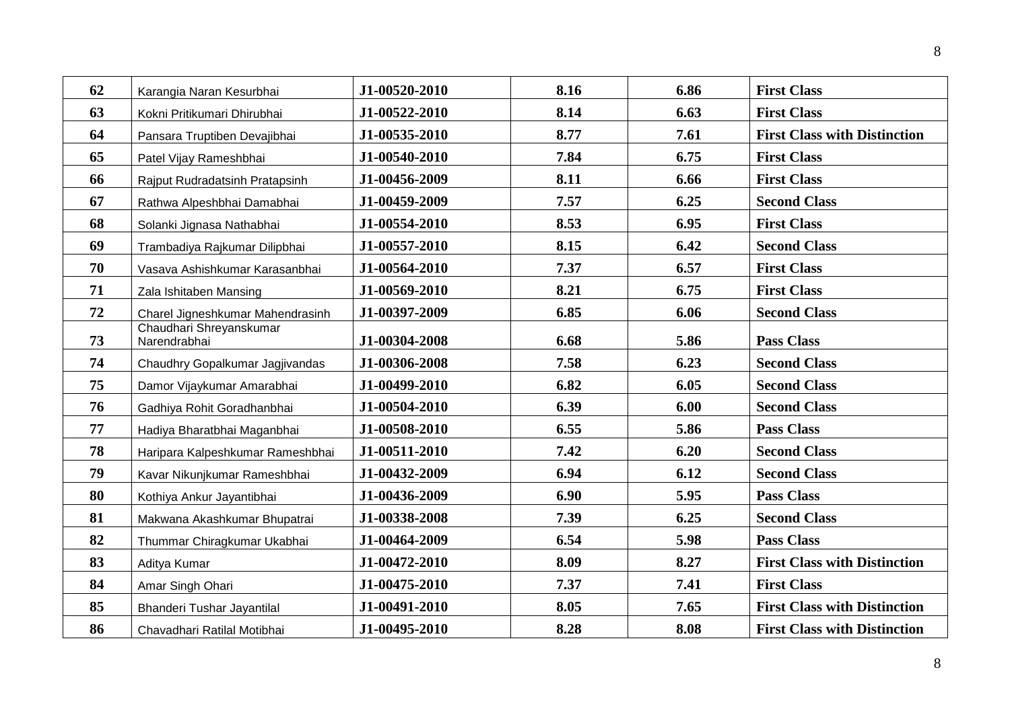| 62 | Karangia Naran Kesurbhai                | J1-00520-2010 | 8.16 | 6.86 | <b>First Class</b>                  |
|----|-----------------------------------------|---------------|------|------|-------------------------------------|
| 63 | Kokni Pritikumari Dhirubhai             | J1-00522-2010 | 8.14 | 6.63 | <b>First Class</b>                  |
| 64 | Pansara Truptiben Devajibhai            | J1-00535-2010 | 8.77 | 7.61 | <b>First Class with Distinction</b> |
| 65 | Patel Vijay Rameshbhai                  | J1-00540-2010 | 7.84 | 6.75 | <b>First Class</b>                  |
| 66 | Rajput Rudradatsinh Pratapsinh          | J1-00456-2009 | 8.11 | 6.66 | <b>First Class</b>                  |
| 67 | Rathwa Alpeshbhai Damabhai              | J1-00459-2009 | 7.57 | 6.25 | <b>Second Class</b>                 |
| 68 | Solanki Jignasa Nathabhai               | J1-00554-2010 | 8.53 | 6.95 | <b>First Class</b>                  |
| 69 | Trambadiya Rajkumar Dilipbhai           | J1-00557-2010 | 8.15 | 6.42 | <b>Second Class</b>                 |
| 70 | Vasava Ashishkumar Karasanbhai          | J1-00564-2010 | 7.37 | 6.57 | <b>First Class</b>                  |
| 71 | Zala Ishitaben Mansing                  | J1-00569-2010 | 8.21 | 6.75 | <b>First Class</b>                  |
| 72 | Charel Jigneshkumar Mahendrasinh        | J1-00397-2009 | 6.85 | 6.06 | <b>Second Class</b>                 |
| 73 | Chaudhari Shreyanskumar<br>Narendrabhai | J1-00304-2008 | 6.68 | 5.86 | <b>Pass Class</b>                   |
| 74 | Chaudhry Gopalkumar Jagjivandas         | J1-00306-2008 | 7.58 | 6.23 | <b>Second Class</b>                 |
| 75 | Damor Vijaykumar Amarabhai              | J1-00499-2010 | 6.82 | 6.05 | <b>Second Class</b>                 |
| 76 | Gadhiya Rohit Goradhanbhai              | J1-00504-2010 | 6.39 | 6.00 | <b>Second Class</b>                 |
| 77 | Hadiya Bharatbhai Maganbhai             | J1-00508-2010 | 6.55 | 5.86 | <b>Pass Class</b>                   |
| 78 | Haripara Kalpeshkumar Rameshbhai        | J1-00511-2010 | 7.42 | 6.20 | <b>Second Class</b>                 |
| 79 | Kavar Nikunjkumar Rameshbhai            | J1-00432-2009 | 6.94 | 6.12 | <b>Second Class</b>                 |
| 80 | Kothiya Ankur Jayantibhai               | J1-00436-2009 | 6.90 | 5.95 | <b>Pass Class</b>                   |
| 81 | Makwana Akashkumar Bhupatrai            | J1-00338-2008 | 7.39 | 6.25 | <b>Second Class</b>                 |
| 82 | Thummar Chiragkumar Ukabhai             | J1-00464-2009 | 6.54 | 5.98 | <b>Pass Class</b>                   |
| 83 | Aditya Kumar                            | J1-00472-2010 | 8.09 | 8.27 | <b>First Class with Distinction</b> |
| 84 | Amar Singh Ohari                        | J1-00475-2010 | 7.37 | 7.41 | <b>First Class</b>                  |
| 85 | Bhanderi Tushar Jayantilal              | J1-00491-2010 | 8.05 | 7.65 | <b>First Class with Distinction</b> |
| 86 | Chavadhari Ratilal Motibhai             | J1-00495-2010 | 8.28 | 8.08 | <b>First Class with Distinction</b> |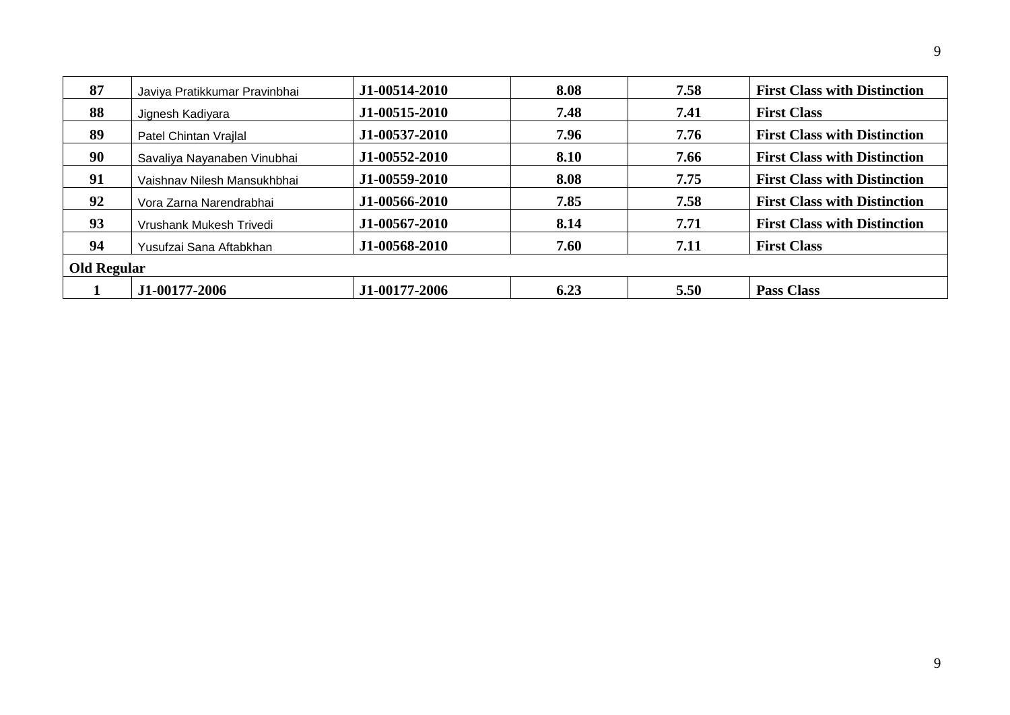| 87                 | Javiya Pratikkumar Pravinbhai | J1-00514-2010 | 8.08 | 7.58 | <b>First Class with Distinction</b> |  |
|--------------------|-------------------------------|---------------|------|------|-------------------------------------|--|
| 88                 | Jignesh Kadiyara              | J1-00515-2010 | 7.48 | 7.41 | <b>First Class</b>                  |  |
| 89                 | Patel Chintan Vrajlal         | J1-00537-2010 | 7.96 | 7.76 | <b>First Class with Distinction</b> |  |
| 90                 | Savaliya Nayanaben Vinubhai   | J1-00552-2010 | 8.10 | 7.66 | <b>First Class with Distinction</b> |  |
| 91                 | Vaishnav Nilesh Mansukhbhai   | J1-00559-2010 | 8.08 | 7.75 | <b>First Class with Distinction</b> |  |
| 92                 | Vora Zarna Narendrabhai       | J1-00566-2010 | 7.85 | 7.58 | <b>First Class with Distinction</b> |  |
| 93                 | Vrushank Mukesh Trivedi       | J1-00567-2010 | 8.14 | 7.71 | <b>First Class with Distinction</b> |  |
| 94                 | Yusufzai Sana Aftabkhan       | J1-00568-2010 | 7.60 | 7.11 | <b>First Class</b>                  |  |
| <b>Old Regular</b> |                               |               |      |      |                                     |  |
|                    | J1-00177-2006                 | J1-00177-2006 | 6.23 | 5.50 | <b>Pass Class</b>                   |  |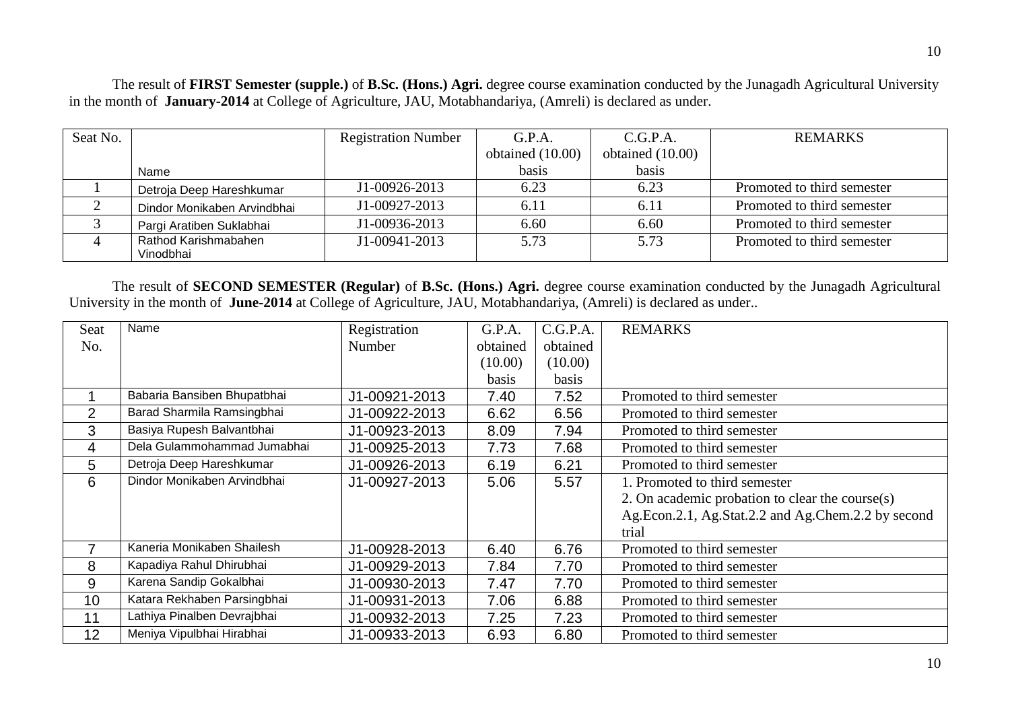The result of **FIRST Semester (supple.)** of **B.Sc. (Hons.) Agri.** degree course examination conducted by the Junagadh Agricultural University in the month of **January-2014** at College of Agriculture, JAU, Motabhandariya, (Amreli) is declared as under.

| Seat No. |                             | <b>Registration Number</b> | G.P.A.             | C.G.P.A.           | <b>REMARKS</b>             |
|----------|-----------------------------|----------------------------|--------------------|--------------------|----------------------------|
|          |                             |                            | obtained $(10.00)$ | obtained $(10.00)$ |                            |
|          | Name                        |                            | basis              | basis              |                            |
|          | Detroja Deep Hareshkumar    | J1-00926-2013              | 6.23               | 6.23               | Promoted to third semester |
|          | Dindor Monikaben Arvindbhai | J1-00927-2013              | 6.11               | 6.11               | Promoted to third semester |
|          | Pargi Aratiben Suklabhai    | J1-00936-2013              | 6.60               | 6.60               | Promoted to third semester |
|          | Rathod Karishmabahen        | J1-00941-2013              | 5.73               | 5.73               | Promoted to third semester |
|          | Vinodbhai                   |                            |                    |                    |                            |

The result of **SECOND SEMESTER (Regular)** of **B.Sc. (Hons.) Agri.** degree course examination conducted by the Junagadh Agricultural University in the month of **June-2014** at College of Agriculture, JAU, Motabhandariya, (Amreli) is declared as under..

| Seat           | Name                        | Registration  | G.P.A.   | C.G.P.A. | <b>REMARKS</b>                                     |
|----------------|-----------------------------|---------------|----------|----------|----------------------------------------------------|
| No.            |                             | Number        | obtained | obtained |                                                    |
|                |                             |               | (10.00)  | (10.00)  |                                                    |
|                |                             |               | basis    | basis    |                                                    |
|                | Babaria Bansiben Bhupatbhai | J1-00921-2013 | 7.40     | 7.52     | Promoted to third semester                         |
| 2              | Barad Sharmila Ramsingbhai  | J1-00922-2013 | 6.62     | 6.56     | Promoted to third semester                         |
| 3              | Basiya Rupesh Balvantbhai   | J1-00923-2013 | 8.09     | 7.94     | Promoted to third semester                         |
| $\overline{4}$ | Dela Gulammohammad Jumabhai | J1-00925-2013 | 7.73     | 7.68     | Promoted to third semester                         |
| 5              | Detroja Deep Hareshkumar    | J1-00926-2013 | 6.19     | 6.21     | Promoted to third semester                         |
| 6              | Dindor Monikaben Arvindbhai | J1-00927-2013 | 5.06     | 5.57     | . Promoted to third semester                       |
|                |                             |               |          |          | 2. On academic probation to clear the course(s)    |
|                |                             |               |          |          | Ag.Econ.2.1, Ag.Stat.2.2 and Ag.Chem.2.2 by second |
|                |                             |               |          |          | trial                                              |
| $\overline{7}$ | Kaneria Monikaben Shailesh  | J1-00928-2013 | 6.40     | 6.76     | Promoted to third semester                         |
| 8              | Kapadiya Rahul Dhirubhai    | J1-00929-2013 | 7.84     | 7.70     | Promoted to third semester                         |
| 9              | Karena Sandip Gokalbhai     | J1-00930-2013 | 7.47     | 7.70     | Promoted to third semester                         |
| 10             | Katara Rekhaben Parsingbhai | J1-00931-2013 | 7.06     | 6.88     | Promoted to third semester                         |
| 11             | Lathiya Pinalben Devrajbhai | J1-00932-2013 | 7.25     | 7.23     | Promoted to third semester                         |
| 12             | Meniya Vipulbhai Hirabhai   | J1-00933-2013 | 6.93     | 6.80     | Promoted to third semester                         |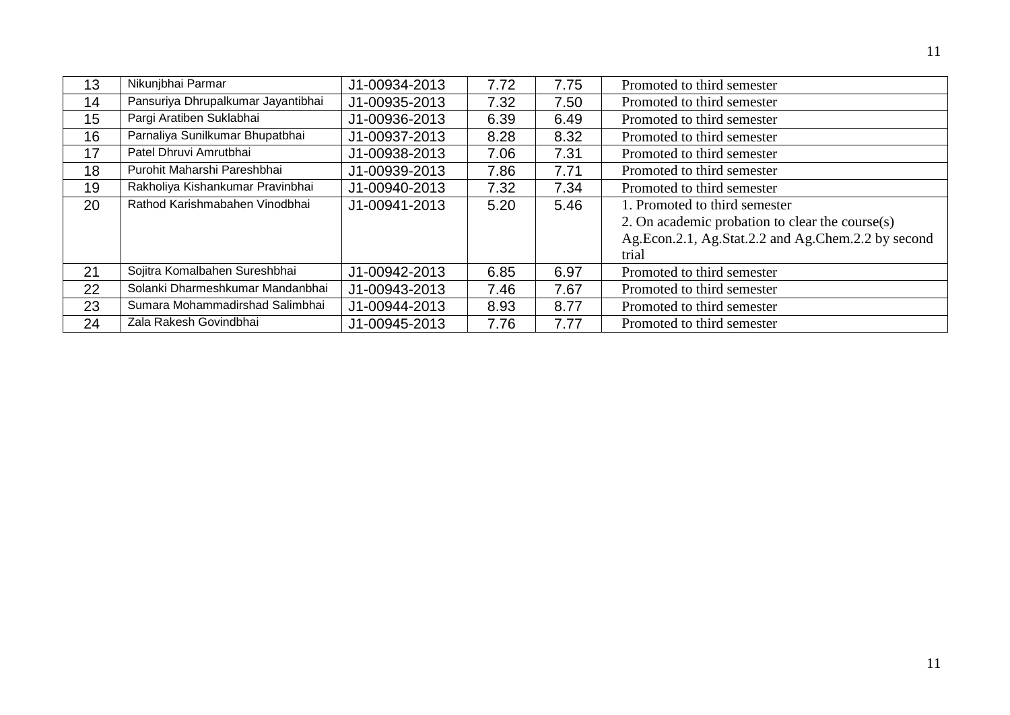| 13 | Nikunjbhai Parmar                  | J1-00934-2013 | 7.72 | 7.75 | Promoted to third semester                         |
|----|------------------------------------|---------------|------|------|----------------------------------------------------|
| 14 | Pansuriya Dhrupalkumar Jayantibhai | J1-00935-2013 | 7.32 | 7.50 | Promoted to third semester                         |
| 15 | Pargi Aratiben Suklabhai           | J1-00936-2013 | 6.39 | 6.49 | Promoted to third semester                         |
| 16 | Parnaliya Sunilkumar Bhupatbhai    | J1-00937-2013 | 8.28 | 8.32 | Promoted to third semester                         |
| 17 | Patel Dhruvi Amrutbhai             | J1-00938-2013 | 7.06 | 7.31 | Promoted to third semester                         |
| 18 | Purohit Maharshi Pareshbhai        | J1-00939-2013 | 7.86 | 7.71 | Promoted to third semester                         |
| 19 | Rakholiya Kishankumar Pravinbhai   | J1-00940-2013 | 7.32 | 7.34 | Promoted to third semester                         |
| 20 | Rathod Karishmabahen Vinodbhai     | J1-00941-2013 | 5.20 | 5.46 | 1. Promoted to third semester                      |
|    |                                    |               |      |      | 2. On academic probation to clear the course $(s)$ |
|    |                                    |               |      |      | Ag.Econ.2.1, Ag.Stat.2.2 and Ag.Chem.2.2 by second |
|    |                                    |               |      |      | trial                                              |
| 21 | Sojitra Komalbahen Sureshbhai      | J1-00942-2013 | 6.85 | 6.97 | Promoted to third semester                         |
| 22 | Solanki Dharmeshkumar Mandanbhai   | J1-00943-2013 | 7.46 | 7.67 | Promoted to third semester                         |
| 23 | Sumara Mohammadirshad Salimbhai    | J1-00944-2013 | 8.93 | 8.77 | Promoted to third semester                         |
| 24 | Zala Rakesh Govindbhai             | J1-00945-2013 | 7.76 | 7.77 | Promoted to third semester                         |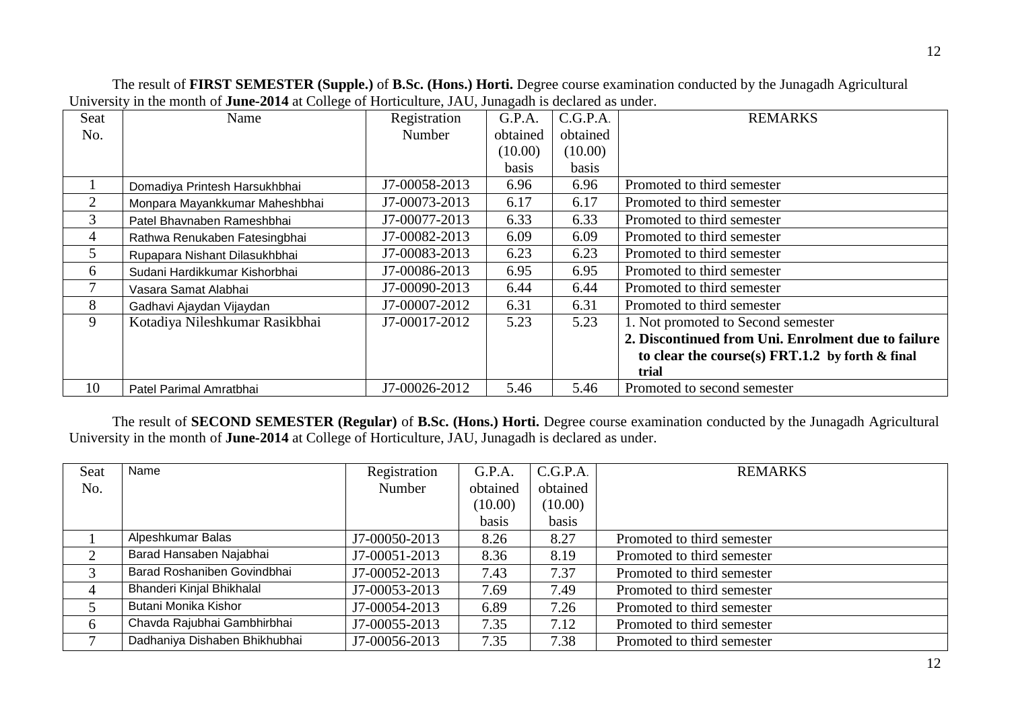| Seat           | Name                           | Registration  | G.P.A.   | C.G.P.A. | <b>REMARKS</b>                                           |
|----------------|--------------------------------|---------------|----------|----------|----------------------------------------------------------|
| No.            |                                | Number        | obtained | obtained |                                                          |
|                |                                |               | (10.00)  | (10.00)  |                                                          |
|                |                                |               | basis    | basis    |                                                          |
|                | Domadiya Printesh Harsukhbhai  | J7-00058-2013 | 6.96     | 6.96     | Promoted to third semester                               |
| $\overline{2}$ | Monpara Mayankkumar Maheshbhai | J7-00073-2013 | 6.17     | 6.17     | Promoted to third semester                               |
| 3              | Patel Bhavnaben Rameshbhai     | J7-00077-2013 | 6.33     | 6.33     | Promoted to third semester                               |
| 4              | Rathwa Renukaben Fatesingbhai  | J7-00082-2013 | 6.09     | 6.09     | Promoted to third semester                               |
| 5              | Rupapara Nishant Dilasukhbhai  | J7-00083-2013 | 6.23     | 6.23     | Promoted to third semester                               |
| 6              | Sudani Hardikkumar Kishorbhai  | J7-00086-2013 | 6.95     | 6.95     | Promoted to third semester                               |
|                | Vasara Samat Alabhai           | J7-00090-2013 | 6.44     | 6.44     | Promoted to third semester                               |
| 8              | Gadhavi Ajaydan Vijaydan       | J7-00007-2012 | 6.31     | 6.31     | Promoted to third semester                               |
| 9              | Kotadiya Nileshkumar Rasikbhai | J7-00017-2012 | 5.23     | 5.23     | 1. Not promoted to Second semester                       |
|                |                                |               |          |          | 2. Discontinued from Uni. Enrolment due to failure       |
|                |                                |               |          |          | to clear the course(s) $\text{FRT}.1.2$ by forth & final |
|                |                                |               |          |          | trial                                                    |
| 10             | Patel Parimal Amratbhai        | J7-00026-2012 | 5.46     | 5.46     | Promoted to second semester                              |

The result of **FIRST SEMESTER (Supple.)** of **B.Sc. (Hons.) Horti.** Degree course examination conducted by the Junagadh Agricultural University in the month of **June-2014** at College of Horticulture, JAU, Junagadh is declared as under.

The result of **SECOND SEMESTER (Regular)** of **B.Sc. (Hons.) Horti.** Degree course examination conducted by the Junagadh Agricultural University in the month of **June-2014** at College of Horticulture, JAU, Junagadh is declared as under.

| Seat | Name                          | Registration  | G.P.A.   | C.G.P.A. | <b>REMARKS</b>             |
|------|-------------------------------|---------------|----------|----------|----------------------------|
| No.  |                               | Number        | obtained | obtained |                            |
|      |                               |               | (10.00)  | (10.00)  |                            |
|      |                               |               | basis    | basis    |                            |
|      | Alpeshkumar Balas             | J7-00050-2013 | 8.26     | 8.27     | Promoted to third semester |
| 2    | Barad Hansaben Najabhai       | J7-00051-2013 | 8.36     | 8.19     | Promoted to third semester |
| 3    | Barad Roshaniben Govindbhai   | J7-00052-2013 | 7.43     | 7.37     | Promoted to third semester |
| 4    | Bhanderi Kinjal Bhikhalal     | J7-00053-2013 | 7.69     | 7.49     | Promoted to third semester |
| 5    | Butani Monika Kishor          | J7-00054-2013 | 6.89     | 7.26     | Promoted to third semester |
| 6    | Chavda Rajubhai Gambhirbhai   | J7-00055-2013 | 7.35     | 7.12     | Promoted to third semester |
| ⇁    | Dadhaniya Dishaben Bhikhubhai | J7-00056-2013 | 7.35     | 7.38     | Promoted to third semester |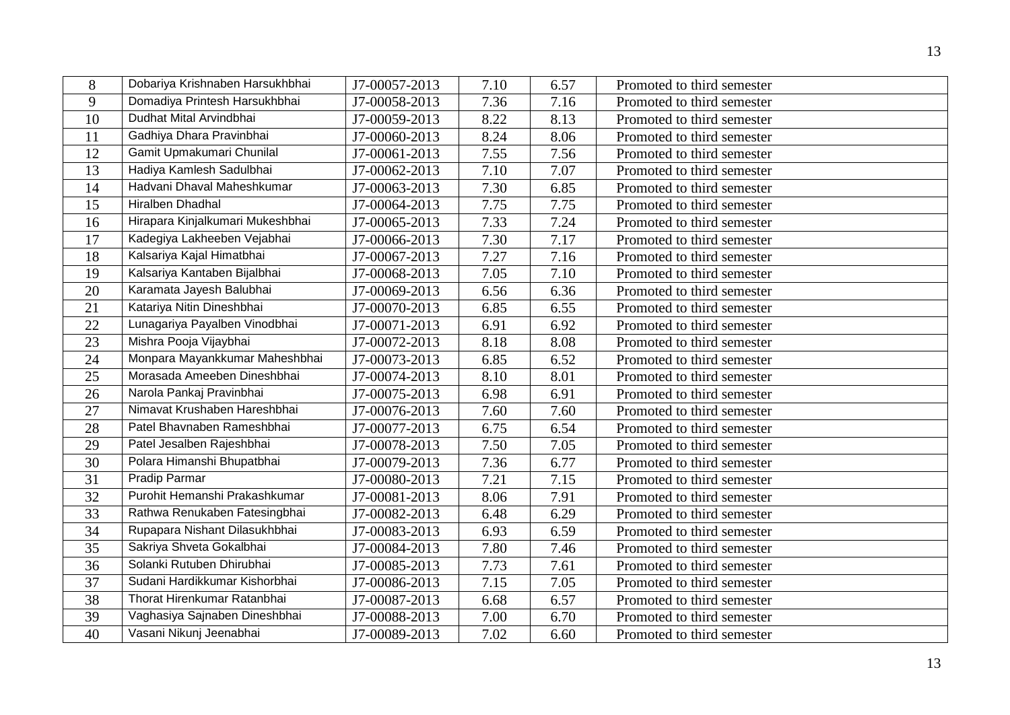| 8  | Dobariya Krishnaben Harsukhbhai  | J7-00057-2013 | 7.10 | 6.57 | Promoted to third semester |
|----|----------------------------------|---------------|------|------|----------------------------|
| 9  | Domadiya Printesh Harsukhbhai    | J7-00058-2013 | 7.36 | 7.16 | Promoted to third semester |
| 10 | Dudhat Mital Arvindbhai          | J7-00059-2013 | 8.22 | 8.13 | Promoted to third semester |
| 11 | Gadhiya Dhara Pravinbhai         | J7-00060-2013 | 8.24 | 8.06 | Promoted to third semester |
| 12 | Gamit Upmakumari Chunilal        | J7-00061-2013 | 7.55 | 7.56 | Promoted to third semester |
| 13 | Hadiya Kamlesh Sadulbhai         | J7-00062-2013 | 7.10 | 7.07 | Promoted to third semester |
| 14 | Hadvani Dhaval Maheshkumar       | J7-00063-2013 | 7.30 | 6.85 | Promoted to third semester |
| 15 | <b>Hiralben Dhadhal</b>          | J7-00064-2013 | 7.75 | 7.75 | Promoted to third semester |
| 16 | Hirapara Kinjalkumari Mukeshbhai | J7-00065-2013 | 7.33 | 7.24 | Promoted to third semester |
| 17 | Kadegiya Lakheeben Vejabhai      | J7-00066-2013 | 7.30 | 7.17 | Promoted to third semester |
| 18 | Kalsariya Kajal Himatbhai        | J7-00067-2013 | 7.27 | 7.16 | Promoted to third semester |
| 19 | Kalsariya Kantaben Bijalbhai     | J7-00068-2013 | 7.05 | 7.10 | Promoted to third semester |
| 20 | Karamata Jayesh Balubhai         | J7-00069-2013 | 6.56 | 6.36 | Promoted to third semester |
| 21 | Katariya Nitin Dineshbhai        | J7-00070-2013 | 6.85 | 6.55 | Promoted to third semester |
| 22 | Lunagariya Payalben Vinodbhai    | J7-00071-2013 | 6.91 | 6.92 | Promoted to third semester |
| 23 | Mishra Pooja Vijaybhai           | J7-00072-2013 | 8.18 | 8.08 | Promoted to third semester |
| 24 | Monpara Mayankkumar Maheshbhai   | J7-00073-2013 | 6.85 | 6.52 | Promoted to third semester |
| 25 | Morasada Ameeben Dineshbhai      | J7-00074-2013 | 8.10 | 8.01 | Promoted to third semester |
| 26 | Narola Pankaj Pravinbhai         | J7-00075-2013 | 6.98 | 6.91 | Promoted to third semester |
| 27 | Nimavat Krushaben Hareshbhai     | J7-00076-2013 | 7.60 | 7.60 | Promoted to third semester |
| 28 | Patel Bhavnaben Rameshbhai       | J7-00077-2013 | 6.75 | 6.54 | Promoted to third semester |
| 29 | Patel Jesalben Rajeshbhai        | J7-00078-2013 | 7.50 | 7.05 | Promoted to third semester |
| 30 | Polara Himanshi Bhupatbhai       | J7-00079-2013 | 7.36 | 6.77 | Promoted to third semester |
| 31 | <b>Pradip Parmar</b>             | J7-00080-2013 | 7.21 | 7.15 | Promoted to third semester |
| 32 | Purohit Hemanshi Prakashkumar    | J7-00081-2013 | 8.06 | 7.91 | Promoted to third semester |
| 33 | Rathwa Renukaben Fatesingbhai    | J7-00082-2013 | 6.48 | 6.29 | Promoted to third semester |
| 34 | Rupapara Nishant Dilasukhbhai    | J7-00083-2013 | 6.93 | 6.59 | Promoted to third semester |
| 35 | Sakriya Shveta Gokalbhai         | J7-00084-2013 | 7.80 | 7.46 | Promoted to third semester |
| 36 | Solanki Rutuben Dhirubhai        | J7-00085-2013 | 7.73 | 7.61 | Promoted to third semester |
| 37 | Sudani Hardikkumar Kishorbhai    | J7-00086-2013 | 7.15 | 7.05 | Promoted to third semester |
| 38 | Thorat Hirenkumar Ratanbhai      | J7-00087-2013 | 6.68 | 6.57 | Promoted to third semester |
| 39 | Vaghasiya Sajnaben Dineshbhai    | J7-00088-2013 | 7.00 | 6.70 | Promoted to third semester |
| 40 | Vasani Nikunj Jeenabhai          | J7-00089-2013 | 7.02 | 6.60 | Promoted to third semester |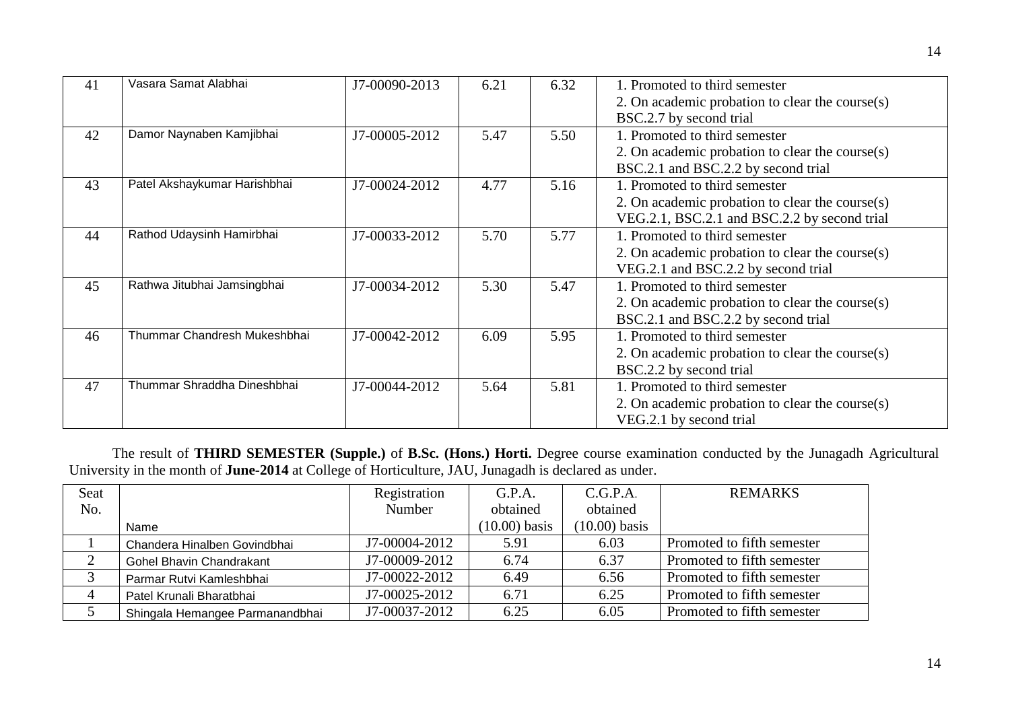| 41 | Vasara Samat Alabhai         | J7-00090-2013 | 6.21 | 6.32 | 1. Promoted to third semester                      |
|----|------------------------------|---------------|------|------|----------------------------------------------------|
|    |                              |               |      |      | 2. On academic probation to clear the course(s)    |
|    |                              |               |      |      | BSC.2.7 by second trial                            |
| 42 | Damor Naynaben Kamjibhai     | J7-00005-2012 | 5.47 | 5.50 | 1. Promoted to third semester                      |
|    |                              |               |      |      | 2. On academic probation to clear the course(s)    |
|    |                              |               |      |      | BSC.2.1 and BSC.2.2 by second trial                |
| 43 | Patel Akshaykumar Harishbhai | J7-00024-2012 | 4.77 | 5.16 | 1. Promoted to third semester                      |
|    |                              |               |      |      | 2. On academic probation to clear the course(s)    |
|    |                              |               |      |      | VEG.2.1, BSC.2.1 and BSC.2.2 by second trial       |
| 44 | Rathod Udaysinh Hamirbhai    | J7-00033-2012 | 5.70 | 5.77 | 1. Promoted to third semester                      |
|    |                              |               |      |      | 2. On academic probation to clear the course $(s)$ |
|    |                              |               |      |      | VEG.2.1 and BSC.2.2 by second trial                |
| 45 | Rathwa Jitubhai Jamsingbhai  | J7-00034-2012 | 5.30 | 5.47 | 1. Promoted to third semester                      |
|    |                              |               |      |      | 2. On academic probation to clear the course $(s)$ |
|    |                              |               |      |      | BSC.2.1 and BSC.2.2 by second trial                |
| 46 | Thummar Chandresh Mukeshbhai | J7-00042-2012 | 6.09 | 5.95 | 1. Promoted to third semester                      |
|    |                              |               |      |      | 2. On academic probation to clear the course $(s)$ |
|    |                              |               |      |      | BSC.2.2 by second trial                            |
| 47 | Thummar Shraddha Dineshbhai  | J7-00044-2012 | 5.64 | 5.81 | 1. Promoted to third semester                      |
|    |                              |               |      |      | 2. On academic probation to clear the course $(s)$ |
|    |                              |               |      |      | VEG.2.1 by second trial                            |

The result of **THIRD SEMESTER (Supple.)** of **B.Sc. (Hons.) Horti.** Degree course examination conducted by the Junagadh Agricultural University in the month of **June-2014** at College of Horticulture, JAU, Junagadh is declared as under.

| Seat |                                 | Registration    | G.P.A.          | C.G.P.A.        | <b>REMARKS</b>             |
|------|---------------------------------|-----------------|-----------------|-----------------|----------------------------|
| No.  |                                 | Number          | obtained        | obtained        |                            |
|      | Name                            |                 | $(10.00)$ basis | $(10.00)$ basis |                            |
|      | Chandera Hinalben Govindbhai    | J7-00004-2012   | 5.91            | 6.03            | Promoted to fifth semester |
|      | Gohel Bhavin Chandrakant        | J7-00009-2012   | 6.74            | 6.37            | Promoted to fifth semester |
|      | Parmar Rutvi Kamleshbhai        | $J7-00022-2012$ | 6.49            | 6.56            | Promoted to fifth semester |
| 4    | Patel Krunali Bharatbhai        | J7-00025-2012   | 6.71            | 6.25            | Promoted to fifth semester |
|      | Shingala Hemangee Parmanandbhai | J7-00037-2012   | 6.25            | 6.05            | Promoted to fifth semester |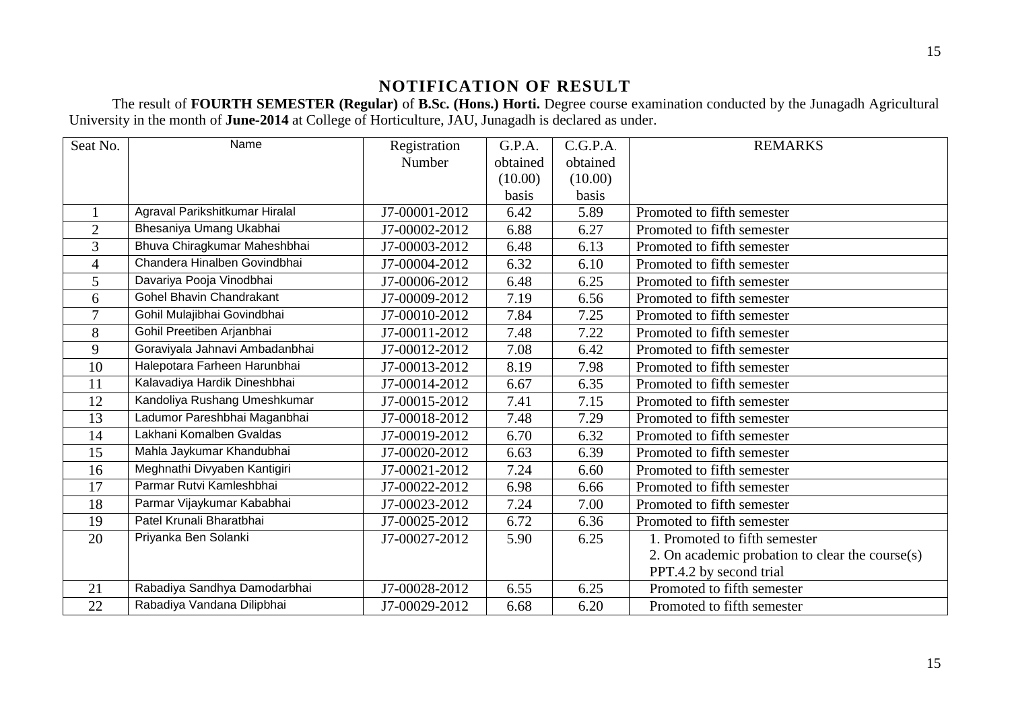# **NOTIFICATION OF RESULT**

The result of **FOURTH SEMESTER (Regular)** of **B.Sc. (Hons.) Horti.** Degree course examination conducted by the Junagadh Agricultural University in the month of **June-2014** at College of Horticulture, JAU, Junagadh is declared as under.

| Seat No. | Name                           | Registration  | G.P.A.   | C.G.P.A. | <b>REMARKS</b>                                  |
|----------|--------------------------------|---------------|----------|----------|-------------------------------------------------|
|          |                                | Number        | obtained | obtained |                                                 |
|          |                                |               | (10.00)  | (10.00)  |                                                 |
|          |                                |               | basis    | basis    |                                                 |
| 1        | Agraval Parikshitkumar Hiralal | J7-00001-2012 | 6.42     | 5.89     | Promoted to fifth semester                      |
| 2        | Bhesaniya Umang Ukabhai        | J7-00002-2012 | 6.88     | 6.27     | Promoted to fifth semester                      |
| 3        | Bhuva Chiragkumar Maheshbhai   | J7-00003-2012 | 6.48     | 6.13     | Promoted to fifth semester                      |
| 4        | Chandera Hinalben Govindbhai   | J7-00004-2012 | 6.32     | 6.10     | Promoted to fifth semester                      |
| 5        | Davariya Pooja Vinodbhai       | J7-00006-2012 | 6.48     | 6.25     | Promoted to fifth semester                      |
| 6        | Gohel Bhavin Chandrakant       | J7-00009-2012 | 7.19     | 6.56     | Promoted to fifth semester                      |
| $\tau$   | Gohil Mulajibhai Govindbhai    | J7-00010-2012 | 7.84     | 7.25     | Promoted to fifth semester                      |
| 8        | Gohil Preetiben Arjanbhai      | J7-00011-2012 | 7.48     | 7.22     | Promoted to fifth semester                      |
| 9        | Goraviyala Jahnavi Ambadanbhai | J7-00012-2012 | 7.08     | 6.42     | Promoted to fifth semester                      |
| 10       | Halepotara Farheen Harunbhai   | J7-00013-2012 | 8.19     | 7.98     | Promoted to fifth semester                      |
| 11       | Kalavadiya Hardik Dineshbhai   | J7-00014-2012 | 6.67     | 6.35     | Promoted to fifth semester                      |
| 12       | Kandoliya Rushang Umeshkumar   | J7-00015-2012 | 7.41     | 7.15     | Promoted to fifth semester                      |
| 13       | Ladumor Pareshbhai Maganbhai   | J7-00018-2012 | 7.48     | 7.29     | Promoted to fifth semester                      |
| 14       | Lakhani Komalben Gvaldas       | J7-00019-2012 | 6.70     | 6.32     | Promoted to fifth semester                      |
| 15       | Mahla Jaykumar Khandubhai      | J7-00020-2012 | 6.63     | 6.39     | Promoted to fifth semester                      |
| 16       | Meghnathi Divyaben Kantigiri   | J7-00021-2012 | 7.24     | 6.60     | Promoted to fifth semester                      |
| 17       | Parmar Rutvi Kamleshbhai       | J7-00022-2012 | 6.98     | 6.66     | Promoted to fifth semester                      |
| 18       | Parmar Vijaykumar Kababhai     | J7-00023-2012 | 7.24     | 7.00     | Promoted to fifth semester                      |
| 19       | Patel Krunali Bharatbhai       | J7-00025-2012 | 6.72     | 6.36     | Promoted to fifth semester                      |
| 20       | Priyanka Ben Solanki           | J7-00027-2012 | 5.90     | 6.25     | 1. Promoted to fifth semester                   |
|          |                                |               |          |          | 2. On academic probation to clear the course(s) |
|          |                                |               |          |          | PPT.4.2 by second trial                         |
| 21       | Rabadiya Sandhya Damodarbhai   | J7-00028-2012 | 6.55     | 6.25     | Promoted to fifth semester                      |
| 22       | Rabadiya Vandana Dilipbhai     | J7-00029-2012 | 6.68     | 6.20     | Promoted to fifth semester                      |